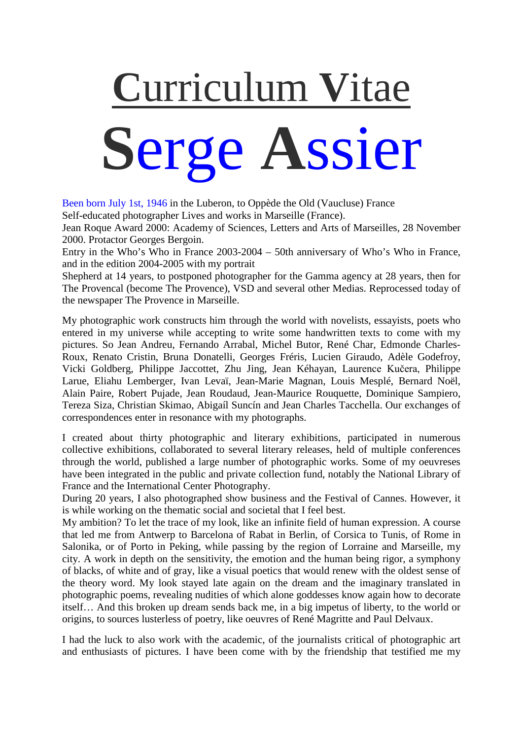# **C**urriculum **V**itae **S**erge **A**ssier

Been born July 1st, 1946 in the Luberon, to Oppède the Old (Vaucluse) France

Self-educated photographer Lives and works in Marseille (France).

Jean Roque Award 2000: Academy of Sciences, Letters and Arts of Marseilles, 28 November 2000. Protactor Georges Bergoin.

Entry in the Who's Who in France 2003-2004 – 50th anniversary of Who's Who in France, and in the edition 2004-2005 with my portrait

Shepherd at 14 years, to postponed photographer for the Gamma agency at 28 years, then for The Provencal (become The Provence), VSD and several other Medias. Reprocessed today of the newspaper The Provence in Marseille.

My photographic work constructs him through the world with novelists, essayists, poets who entered in my universe while accepting to write some handwritten texts to come with my pictures. So Jean Andreu, Fernando Arrabal, Michel Butor, René Char, Edmonde Charles-Roux, Renato Cristin, Bruna Donatelli, Georges Fréris, Lucien Giraudo, Adèle Godefroy, Vicki Goldberg, Philippe Jaccottet, Zhu Jing, Jean Kéhayan, Laurence Kučera, Philippe Larue, Eliahu Lemberger, Ivan Levaï, Jean-Marie Magnan, Louis Mesplé, Bernard Noël, Alain Paire, Robert Pujade, Jean Roudaud, Jean-Maurice Rouquette, Dominique Sampiero, Tereza Siza, Christian Skimao, Abigaíl Suncín and Jean Charles Tacchella. Our exchanges of correspondences enter in resonance with my photographs.

I created about thirty photographic and literary exhibitions, participated in numerous collective exhibitions, collaborated to several literary releases, held of multiple conferences through the world, published a large number of photographic works. Some of my oeuvreses have been integrated in the public and private collection fund, notably the National Library of France and the International Center Photography.

During 20 years, I also photographed show business and the Festival of Cannes. However, it is while working on the thematic social and societal that I feel best.

My ambition? To let the trace of my look, like an infinite field of human expression. A course that led me from Antwerp to Barcelona of Rabat in Berlin, of Corsica to Tunis, of Rome in Salonika, or of Porto in Peking, while passing by the region of Lorraine and Marseille, my city. A work in depth on the sensitivity, the emotion and the human being rigor, a symphony of blacks, of white and of gray, like a visual poetics that would renew with the oldest sense of the theory word. My look stayed late again on the dream and the imaginary translated in photographic poems, revealing nudities of which alone goddesses know again how to decorate itself… And this broken up dream sends back me, in a big impetus of liberty, to the world or origins, to sources lusterless of poetry, like oeuvres of René Magritte and Paul Delvaux.

I had the luck to also work with the academic, of the journalists critical of photographic art and enthusiasts of pictures. I have been come with by the friendship that testified me my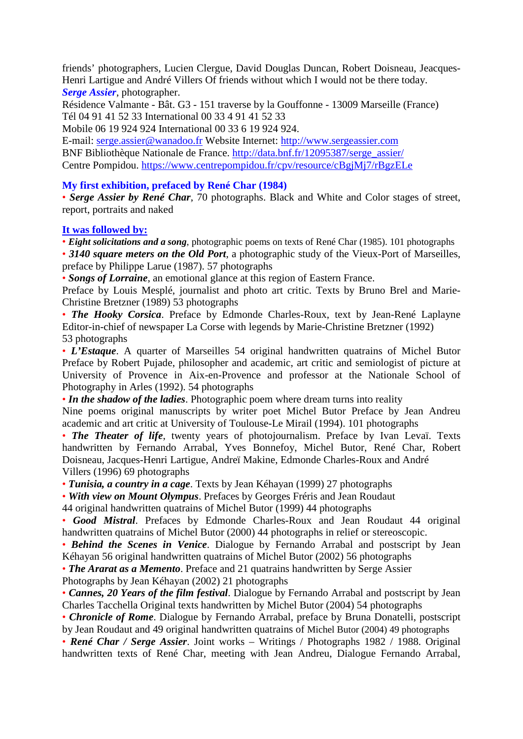friends' photographers, Lucien Clergue, David Douglas Duncan, Robert Doisneau, Jeacques-Henri Lartigue and André Villers Of friends without which I would not be there today. *Serge Assier*, photographer.

Résidence Valmante - Bât. G3 - 151 traverse by la Gouffonne - 13009 Marseille (France) Tél 04 91 41 52 33 International 00 33 4 91 41 52 33

Mobile 06 19 924 924 International 00 33 6 19 924 924.

E-mail: [serge.assier@wanadoo.fr](mailto:serge.assier@wanadoo.fr) Website Internet: [http://www.sergeassier.com](http://www.sergeassier.com/) BNF Bibliothèque Nationale de France. [http://data.bnf.fr/12095387/serge\\_assier/](http://data.bnf.fr/12095387/serge_assier/) Centre Pompidou.<https://www.centrepompidou.fr/cpv/resource/cBgjMj7/rBgzELe>

### **My first exhibition, prefaced by René Char (1984)**

• *Serge Assier by René Char*, 70 photographs. Black and White and Color stages of street, report, portraits and naked

#### **It was followed by:**

• *Eight solicitations and a song*, photographic poems on texts of René Char (1985). 101 photographs • 3140 square meters on the Old Port, a photographic study of the Vieux-Port of Marseilles, preface by Philippe Larue (1987). 57 photographs

• *Songs of Lorraine*, an emotional glance at this region of Eastern France.

Preface by Louis Mesplé, journalist and photo art critic. Texts by Bruno Brel and Marie-Christine Bretzner (1989) 53 photographs

• *The Hooky Corsica*. Preface by Edmonde Charles-Roux, text by Jean-René Laplayne Editor-in-chief of newspaper La Corse with legends by Marie-Christine Bretzner (1992) 53 photographs

• *L'Estaque*. A quarter of Marseilles 54 original handwritten quatrains of Michel Butor Preface by Robert Pujade, philosopher and academic, art critic and semiologist of picture at University of Provence in Aix-en-Provence and professor at the Nationale School of Photography in Arles (1992). 54 photographs

• *In the shadow of the ladies*. Photographic poem where dream turns into reality

Nine poems original manuscripts by writer poet Michel Butor Preface by Jean Andreu academic and art critic at University of Toulouse-Le Mirail (1994). 101 photographs

• *The Theater of life*, twenty years of photojournalism. Preface by Ivan Levaï. Texts handwritten by Fernando Arrabal, Yves Bonnefoy, Michel Butor, René Char, Robert Doisneau, Jacques-Henri Lartigue, Andreï Makine, Edmonde Charles-Roux and André Villers (1996) 69 photographs

• *Tunisia, a country in a cage*. Texts by Jean Kéhayan (1999) 27 photographs

• *With view on Mount Olympus*. Prefaces by Georges Fréris and Jean Roudaut

44 original handwritten quatrains of Michel Butor (1999) 44 photographs

• *Good Mistral*. Prefaces by Edmonde Charles-Roux and Jean Roudaut 44 original handwritten quatrains of Michel Butor (2000) 44 photographs in relief or stereoscopic.

• *Behind the Scenes in Venice*. Dialogue by Fernando Arrabal and postscript by Jean Kéhayan 56 original handwritten quatrains of Michel Butor (2002) 56 photographs

• *The Ararat as a Memento*. Preface and 21 quatrains handwritten by Serge Assier

Photographs by Jean Kéhayan (2002) 21 photographs

• *Cannes, 20 Years of the film festival*. Dialogue by Fernando Arrabal and postscript by Jean Charles Tacchella Original texts handwritten by Michel Butor (2004) 54 photographs

• *Chronicle of Rome*. Dialogue by Fernando Arrabal, preface by Bruna Donatelli, postscript by Jean Roudaut and 49 original handwritten quatrains of Michel Butor (2004) 49 photographs

• *René Char / Serge Assier*. Joint works – Writings / Photographs 1982 / 1988. Original handwritten texts of René Char, meeting with Jean Andreu, Dialogue Fernando Arrabal,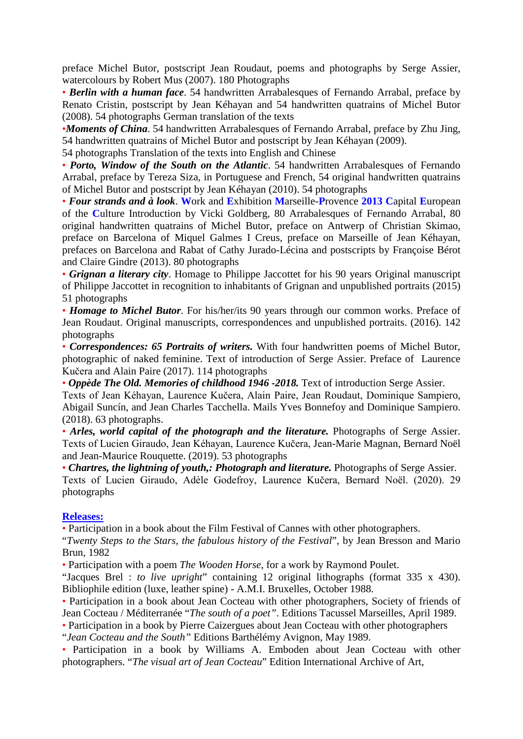preface Michel Butor, postscript Jean Roudaut, poems and photographs by Serge Assier, watercolours by Robert Mus (2007). 180 Photographs

• *Berlin with a human face*. 54 handwritten Arrabalesques of Fernando Arrabal, preface by Renato Cristin, postscript by Jean Kéhayan and 54 handwritten quatrains of Michel Butor (2008). 54 photographs German translation of the texts

•*Moments of China*. 54 handwritten Arrabalesques of Fernando Arrabal, preface by Zhu Jing, 54 handwritten quatrains of Michel Butor and postscript by Jean Kéhayan (2009).

54 photographs Translation of the texts into English and Chinese

• *Porto, Window of the South on the Atlantic*. 54 handwritten Arrabalesques of Fernando Arrabal, preface by Tereza Siza, in Portuguese and French, 54 original handwritten quatrains of Michel Butor and postscript by Jean Kéhayan (2010). 54 photographs

• *Four strands and à look*. **W**ork and **E**xhibition **M**arseille-**P**rovence **2013 C**apital **E**uropean of the **C**ulture Introduction by Vicki Goldberg, 80 Arrabalesques of Fernando Arrabal, 80 original handwritten quatrains of Michel Butor, preface on Antwerp of Christian Skimao, preface on Barcelona of Miquel Galmes I Creus, preface on Marseille of Jean Kéhayan, prefaces on Barcelona and Rabat of Cathy Jurado-Lécina and postscripts by Françoise Bérot and Claire Gindre (2013). 80 photographs

• *Grignan a literary city*. Homage to Philippe Jaccottet for his 90 years Original manuscript of Philippe Jaccottet in recognition to inhabitants of Grignan and unpublished portraits (2015) 51 photographs

• *Homage to Michel Butor*. For his/her/its 90 years through our common works. Preface of Jean Roudaut. Original manuscripts, correspondences and unpublished portraits. (2016). 142 photographs

• *Correspondences: 65 Portraits of writers.* With four handwritten poems of Michel Butor, photographic of naked feminine. Text of introduction of Serge Assier. Preface of Laurence Kučera and Alain Paire (2017). 114 photographs

• *Oppède The Old. Memories of childhood 1946 -2018.* Text of introduction Serge Assier.

Texts of Jean Kéhayan, Laurence Kučera, Alain Paire, Jean Roudaut, Dominique Sampiero, Abigail Suncín, and Jean Charles Tacchella. Mails Yves Bonnefoy and Dominique Sampiero. (2018). 63 photographs.

• *Arles, world capital of the photograph and the literature.* Photographs of Serge Assier. Texts of Lucien Giraudo, Jean Kéhayan, Laurence Kučera, Jean-Marie Magnan, Bernard Noël and Jean-Maurice Rouquette. (2019). 53 photographs

• *Chartres, the lightning of youth,: Photograph and literature.* Photographs of Serge Assier. Texts of Lucien Giraudo, Adèle Godefroy, Laurence Kučera, Bernard Noël. (2020). 29 photographs

#### **Releases:**

• Participation in a book about the Film Festival of Cannes with other photographers.

"*Twenty Steps to the Stars, the fabulous history of the Festival*", by Jean Bresson and Mario Brun, 1982

• Participation with a poem *The Wooden Horse*, for a work by Raymond Poulet.

"Jacques Brel : *to live upright*" containing 12 original lithographs (format 335 x 430). Bibliophile edition (luxe, leather spine) - A.M.I. Bruxelles, October 1988.

• Participation in a book about Jean Cocteau with other photographers, Society of friends of Jean Cocteau / Méditerranée "*The south of a poet"*. Editions Tacussel Marseilles, April 1989.

• Participation in a book by Pierre Caizergues about Jean Cocteau with other photographers

"*Jean Cocteau and the South"* Editions Barthélémy Avignon, May 1989.

• Participation in a book by Williams A. Emboden about Jean Cocteau with other photographers. "*The visual art of Jean Cocteau*" Edition International Archive of Art,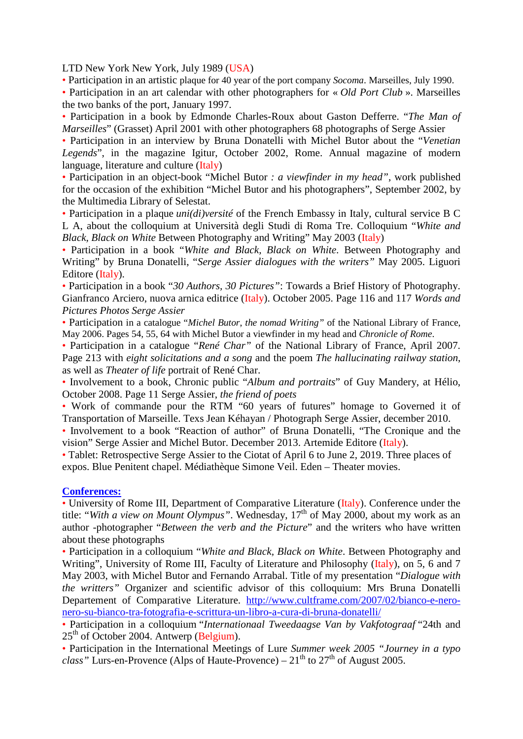LTD New York New York, July 1989 (USA)

• Participation in an artistic plaque for 40 year of the port company *Socoma*. Marseilles, July 1990.

• Participation in an art calendar with other photographers for « *Old Port Club* ». Marseilles the two banks of the port, January 1997.

• Participation in a book by Edmonde Charles-Roux about Gaston Defferre. "*The Man of Marseilles*" (Grasset) April 2001 with other photographers 68 photographs of Serge Assier

• Participation in an interview by Bruna Donatelli with Michel Butor about the "*Venetian Legends*", in the magazine Igitur, October 2002, Rome. Annual magazine of modern language, literature and culture (Italy)

• Participation in an object-book "Michel Butor *: a viewfinder in my head"*, work published for the occasion of the exhibition "Michel Butor and his photographers", September 2002, by the Multimedia Library of Selestat.

• Participation in a plaque *uni(di)versité* of the French Embassy in Italy, cultural service B C L A, about the colloquium at Università degli Studi di Roma Tre. Colloquium "*White and Black, Black on White* Between Photography and Writing" May 2003 (Italy)

• Participation in a book "*White and Black, Black on White*. Between Photography and Writing" by Bruna Donatelli, "*Serge Assier dialogues with the writers"* May 2005. Liguori Editore (Italy).

• Participation in a book "*30 Authors, 30 Pictures"*: Towards a Brief History of Photography. Gianfranco Arciero, nuova arnica editrice (Italy). October 2005. Page 116 and 117 *Words and Pictures Photos Serge Assier*

• Participation in a catalogue "*Michel Butor*, *the nomad Writing"* of the National Library of France, May 2006. Pages 54, 55, 64 with Michel Butor a viewfinder in my head and *Chronicle of Rome*.

• Participation in a catalogue "*René Char"* of the National Library of France, April 2007. Page 213 with *eight solicitations and a song* and the poem *The hallucinating railway station*, as well as *Theater of life* portrait of René Char.

• Involvement to a book, Chronic public "*Album and portraits*" of Guy Mandery, at Hélio, October 2008. Page 11 Serge Assier, *the friend of poets*

• Work of commande pour the RTM "60 years of futures" homage to Governed it of Transportation of Marseille. Texs Jean Kéhayan / Photograph Serge Assier, december 2010.

• Involvement to a book "Reaction of author" of Bruna Donatelli, "The Cronique and the vision" Serge Assier and Michel Butor. December 2013. Artemide Editore (Italy).

• Tablet: Retrospective Serge Assier to the Ciotat of April 6 to June 2, 2019. Three places of expos. Blue Penitent chapel. Médiathèque Simone Veil. Eden – Theater movies.

#### **Conferences:**

• University of Rome III, Department of Comparative Literature (Italy). Conference under the title: "*With a view on Mount Olympus*". Wednesday, 17<sup>th</sup> of May 2000, about my work as an author -photographer "*Between the verb and the Picture*" and the writers who have written about these photographs

• Participation in a colloquium "*White and Black, Black on White*. Between Photography and Writing", University of Rome III, Faculty of Literature and Philosophy (Italy), on 5, 6 and 7 May 2003, with Michel Butor and Fernando Arrabal. Title of my presentation "*Dialogue with the writters"* Organizer and scientific advisor of this colloquium: Mrs Bruna Donatelli Departement of Comparative Literature. [http://www.cultframe.com/2007/02/bianco-e-nero](http://www.cultframe.com/2007/02/bianco-e-nero-nero-su-bianco-tra-fotografia-e-scrittura-un-libro-a-cura-di-bruna-donatelli/)[nero-su-bianco-tra-fotografia-e-scrittura-un-libro-a-cura-di-bruna-donatelli/](http://www.cultframe.com/2007/02/bianco-e-nero-nero-su-bianco-tra-fotografia-e-scrittura-un-libro-a-cura-di-bruna-donatelli/)

• Participation in a colloquium "*Internationaal Tweedaagse Van by Vakfotograaf* "24th and  $25<sup>th</sup>$  of October 2004. Antwerp (Belgium).

• Participation in the International Meetings of Lure *Summer week 2005 "Journey in a typo class*" Lurs-en-Provence (Alps of Haute-Provence) –  $21<sup>th</sup>$  to  $27<sup>th</sup>$  of August 2005.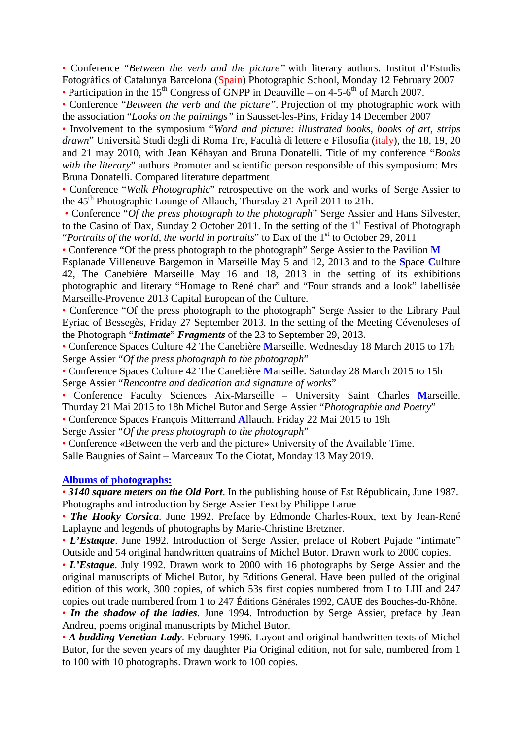• Conference "*Between the verb and the picture"* with literary authors. Institut d'Estudis Fotogràfics of Catalunya Barcelona (Spain) Photographic School, Monday 12 February 2007

• Participation in the  $15<sup>th</sup>$  Congress of GNPP in Deauville – on 4-5-6<sup>th</sup> of March 2007.

• Conference "*Between the verb and the picture".* Projection of my photographic work with the association "*Looks on the paintings"* in Sausset-les-Pins, Friday 14 December 2007

• Involvement to the symposium "*Word and picture: illustrated books, books of art*, *strips drawn*" Università Studi degli di Roma Tre, Facultà di lettere e Filosofia (italy), the 18, 19, 20 and 21 may 2010, with Jean Kéhayan and Bruna Donatelli. Title of my conference "*Books with the literary*" authors Promoter and scientific person responsible of this symposium: Mrs. Bruna Donatelli. Compared literature department

• Conference "*Walk Photographic*" retrospective on the work and works of Serge Assier to the 45<sup>th</sup> Photographic Lounge of Allauch, Thursday 21 April 2011 to 21h.

• Conference "*Of the press photograph to the photograph*" Serge Assier and Hans Silvester, to the Casino of Dax, Sunday 2 October 2011. In the setting of the  $1<sup>st</sup>$  Festival of Photograph "*Portraits of the world, the world in portraits*" to Dax of the 1<sup>st</sup> to October 29, 2011

• Conference "Of the press photograph to the photograph" Serge Assier to the Pavilion **M**

Esplanade Villeneuve Bargemon in Marseille May 5 and 12, 2013 and to the **S**pace **C**ulture 42, The Canebière Marseille May 16 and 18, 2013 in the setting of its exhibitions photographic and literary "Homage to René char" and "Four strands and a look" labellisée Marseille-Provence 2013 Capital European of the Culture.

• Conference "Of the press photograph to the photograph" Serge Assier to the Library Paul Eyriac of Bessegès, Friday 27 September 2013. In the setting of the Meeting Cévenoleses of the Photograph "*Intimate*" *Fragments* of the 23 to September 29, 2013.

• Conference Spaces Culture 42 The Canebière **M**arseille. Wednesday 18 March 2015 to 17h Serge Assier "*Of the press photograph to the photograph*"

• Conference Spaces Culture 42 The Canebière **M**arseille. Saturday 28 March 2015 to 15h Serge Assier "*Rencontre and dedication and signature of works*"

• Conference Faculty Sciences Aix-Marseille – University Saint Charles **M**arseille. Thurday 21 Mai 2015 to 18h Michel Butor and Serge Assier "*Photographie and Poetry*"

• Conference Spaces François Mitterrand **A**llauch. Friday 22 Mai 2015 to 19h

Serge Assier "*Of the press photograph to the photograph*"

• Conference «Between the verb and the picture» University of the Available Time. Salle Baugnies of Saint – Marceaux To the Ciotat, Monday 13 May 2019.

#### **Albums of photographs:**

• *3140 square meters on the Old Port*. In the publishing house of Est Républicain, June 1987. Photographs and introduction by Serge Assier Text by Philippe Larue

• *The Hooky Corsica*. June 1992. Preface by Edmonde Charles-Roux, text by Jean-René Laplayne and legends of photographs by Marie-Christine Bretzner.

• *L'Estaque*. June 1992. Introduction of Serge Assier, preface of Robert Pujade "intimate" Outside and 54 original handwritten quatrains of Michel Butor. Drawn work to 2000 copies.

• *L'Estaque*. July 1992. Drawn work to 2000 with 16 photographs by Serge Assier and the original manuscripts of Michel Butor, by Editions General. Have been pulled of the original edition of this work, 300 copies, of which 53s first copies numbered from I to LIII and 247 copies out trade numbered from 1 to 247 Éditions Générales 1992, CAUE des Bouches-du-Rhône.

• *In the shadow of the ladies*. June 1994. Introduction by Serge Assier, preface by Jean Andreu, poems original manuscripts by Michel Butor.

• *A budding Venetian Lady*. February 1996. Layout and original handwritten texts of Michel Butor, for the seven years of my daughter Pia Original edition, not for sale, numbered from 1 to 100 with 10 photographs. Drawn work to 100 copies.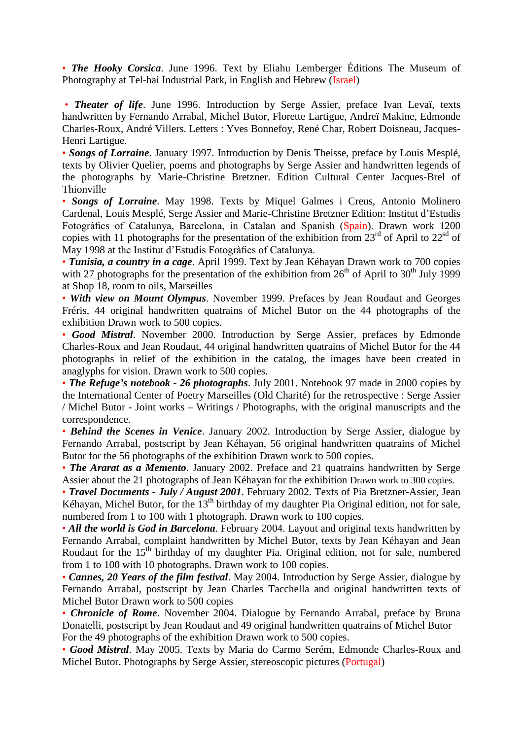• *The Hooky Corsica*. June 1996. Text by Eliahu Lemberger Éditions The Museum of Photography at Tel-hai Industrial Park, in English and Hebrew (Israel)

• *Theater of life*. June 1996. Introduction by Serge Assier, preface Ivan Levaï, texts handwritten by Fernando Arrabal, Michel Butor, Florette Lartigue, Andreï Makine, Edmonde Charles-Roux, André Villers. Letters : Yves Bonnefoy, René Char, Robert Doisneau, Jacques-Henri Lartigue.

• *Songs of Lorraine*. January 1997. Introduction by Denis Theisse, preface by Louis Mesplé, texts by Olivier Quelier, poems and photographs by Serge Assier and handwritten legends of the photographs by Marie-Christine Bretzner. Edition Cultural Center Jacques-Brel of Thionville

• *Songs of Lorraine*. May 1998. Texts by Miquel Galmes i Creus, Antonio Molinero Cardenal, Louis Mesplé, Serge Assier and Marie-Christine Bretzner Edition: Institut d'Estudis Fotogràfics of Catalunya, Barcelona, in Catalan and Spanish (Spain). Drawn work 1200 copies with 11 photographs for the presentation of the exhibition from  $23^{\text{rd}}$  of April to  $22^{\text{sd}}$  of May 1998 at the Institut d'Estudis Fotogràfics of Catalunya.

• *Tunisia, a country in a cage*. April 1999. Text by Jean Kéhayan Drawn work to 700 copies with 27 photographs for the presentation of the exhibition from  $26<sup>th</sup>$  of April to  $30<sup>th</sup>$  July 1999 at Shop 18, room to oils, Marseilles

• *With view on Mount Olympus*. November 1999. Prefaces by Jean Roudaut and Georges Fréris, 44 original handwritten quatrains of Michel Butor on the 44 photographs of the exhibition Drawn work to 500 copies.

• *Good Mistral*. November 2000. Introduction by Serge Assier, prefaces by Edmonde Charles-Roux and Jean Roudaut, 44 original handwritten quatrains of Michel Butor for the 44 photographs in relief of the exhibition in the catalog, the images have been created in anaglyphs for vision. Drawn work to 500 copies.

• *The Refuge's notebook - 26 photographs*. July 2001. Notebook 97 made in 2000 copies by the International Center of Poetry Marseilles (Old Charité) for the retrospective : Serge Assier / Michel Butor - Joint works – Writings / Photographs, with the original manuscripts and the correspondence.

• *Behind the Scenes in Venice*. January 2002. Introduction by Serge Assier, dialogue by Fernando Arrabal, postscript by Jean Kéhayan, 56 original handwritten quatrains of Michel Butor for the 56 photographs of the exhibition Drawn work to 500 copies.

• *The Ararat as a Memento*. January 2002. Preface and 21 quatrains handwritten by Serge Assier about the 21 photographs of Jean Kéhayan for the exhibition Drawn work to 300 copies.

• *Travel Documents - July / August 2001*. February 2002. Texts of Pia Bretzner-Assier, Jean Kéhayan, Michel Butor, for the  $13<sup>th</sup>$  birthday of my daughter Pia Original edition, not for sale, numbered from 1 to 100 with 1 photograph. Drawn work to 100 copies.

• *All the world is God in Barcelona*. February 2004. Layout and original texts handwritten by Fernando Arrabal, complaint handwritten by Michel Butor, texts by Jean Kéhayan and Jean Roudaut for the 15<sup>th</sup> birthday of my daughter Pia. Original edition, not for sale, numbered from 1 to 100 with 10 photographs. Drawn work to 100 copies.

• *Cannes, 20 Years of the film festival*. May 2004. Introduction by Serge Assier, dialogue by Fernando Arrabal, postscript by Jean Charles Tacchella and original handwritten texts of Michel Butor Drawn work to 500 copies

• *Chronicle of Rome*. November 2004. Dialogue by Fernando Arrabal, preface by Bruna Donatelli, postscript by Jean Roudaut and 49 original handwritten quatrains of Michel Butor For the 49 photographs of the exhibition Drawn work to 500 copies.

• *Good Mistral*. May 2005. Texts by Maria do Carmo Serém, Edmonde Charles-Roux and Michel Butor. Photographs by Serge Assier, stereoscopic pictures (Portugal)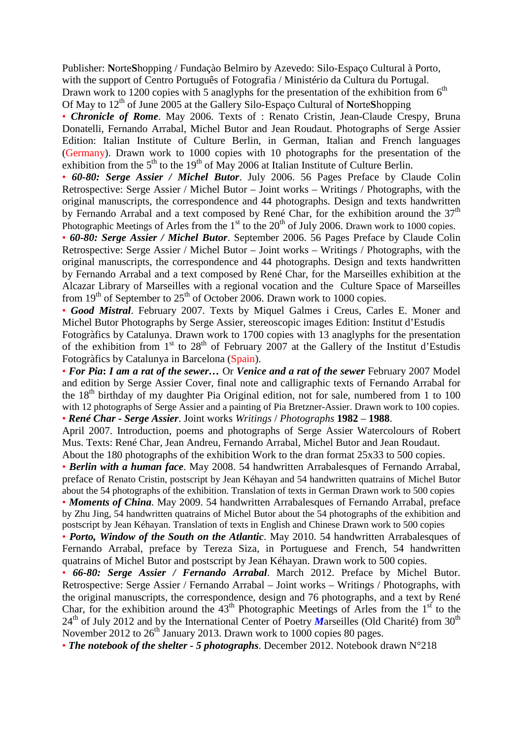Publisher: **N**orte**S**hopping / Fundaçào Belmiro by Azevedo: Silo-Espaço Cultural à Porto, with the support of Centro Português of Fotografia / Ministério da Cultura du Portugal. Drawn work to 1200 copies with 5 anaglyphs for the presentation of the exhibition from  $6<sup>th</sup>$ Of May to 12th of June 2005 at the Gallery Silo-Espaço Cultural of **N**orte**S**hopping

• *Chronicle of Rome*. May 2006. Texts of : Renato Cristin, Jean-Claude Crespy, Bruna Donatelli, Fernando Arrabal, Michel Butor and Jean Roudaut. Photographs of Serge Assier Edition: Italian Institute of Culture Berlin, in German, Italian and French languages (Germany). Drawn work to 1000 copies with 10 photographs for the presentation of the exhibition from the  $5<sup>th</sup>$  to the 19<sup>th</sup> of May 2006 at Italian Institute of Culture Berlin.

• *60-80: Serge Assier / Michel Butor*. July 2006. 56 Pages Preface by Claude Colin Retrospective: Serge Assier / Michel Butor – Joint works – Writings / Photographs, with the original manuscripts, the correspondence and 44 photographs. Design and texts handwritten by Fernando Arrabal and a text composed by René Char, for the exhibition around the  $37<sup>th</sup>$ Photographic Meetings of Arles from the  $1<sup>st</sup>$  to the  $20<sup>th</sup>$  of July 2006. Drawn work to 1000 copies.

• *60-80: Serge Assier / Michel Butor*. September 2006. 56 Pages Preface by Claude Colin Retrospective: Serge Assier / Michel Butor – Joint works – Writings / Photographs, with the original manuscripts, the correspondence and 44 photographs. Design and texts handwritten by Fernando Arrabal and a text composed by René Char, for the Marseilles exhibition at the Alcazar Library of Marseilles with a regional vocation and the Culture Space of Marseilles from  $19<sup>th</sup>$  of September to  $25<sup>th</sup>$  of October 2006. Drawn work to 1000 copies.

• *Good Mistral*. February 2007. Texts by Miquel Galmes i Creus, Carles E. Moner and Michel Butor Photographs by Serge Assier, stereoscopic images Edition: Institut d'Estudis

Fotogràfics by Catalunya. Drawn work to 1700 copies with 13 anaglyphs for the presentation of the exhibition from  $1<sup>st</sup>$  to  $28<sup>th</sup>$  of February 2007 at the Gallery of the Institut d'Estudis Fotogràfics by Catalunya in Barcelona (Spain).

• *For Pia***:** *I am a rat of the sewer…* Or *Venice and a rat of the sewer* February 2007 Model and edition by Serge Assier Cover, final note and calligraphic texts of Fernando Arrabal for the  $18<sup>th</sup>$  birthday of my daughter Pia Original edition, not for sale, numbered from 1 to 100 with 12 photographs of Serge Assier and a painting of Pia Bretzner-Assier. Drawn work to 100 copies. • *René Char - Serge Assier*. Joint works *Writings* / *Photographs* **1982** – **1988**.

April 2007. Introduction, poems and photographs of Serge Assier Watercolours of Robert Mus. Texts: René Char, Jean Andreu, Fernando Arrabal, Michel Butor and Jean Roudaut.

About the 180 photographs of the exhibition Work to the dran format 25x33 to 500 copies.

• *Berlin with a human face*. May 2008. 54 handwritten Arrabalesques of Fernando Arrabal, preface of Renato Cristin, postscript by Jean Kéhayan and 54 handwritten quatrains of Michel Butor about the 54 photographs of the exhibition. Translation of texts in German Drawn work to 500 copies

• *Moments of China*. May 2009. 54 handwritten Arrabalesques of Fernando Arrabal, preface by Zhu Jing, 54 handwritten quatrains of Michel Butor about the 54 photographs of the exhibition and postscript by Jean Kéhayan. Translation of texts in English and Chinese Drawn work to 500 copies

• *Porto, Window of the South on the Atlantic*. May 2010. 54 handwritten Arrabalesques of Fernando Arrabal, preface by Tereza Siza, in Portuguese and French, 54 handwritten quatrains of Michel Butor and postscript by Jean Kéhayan. Drawn work to 500 copies.

• *66-80: Serge Assier / Fernando Arrabal*. March 2012. Preface by Michel Butor. Retrospective: Serge Assier / Fernando Arrabal – Joint works – Writings / Photographs, with the original manuscripts, the correspondence, design and 76 photographs, and a text by René Char, for the exhibition around the  $43<sup>th</sup>$  Photographic Meetings of Arles from the  $1<sup>st</sup>$  to the 24<sup>th</sup> of July 2012 and by the International Center of Poetry *Marseilles* (Old Charité) from 30<sup>th</sup> November 2012 to 26<sup>th</sup> January 2013. Drawn work to 1000 copies 80 pages.

• *The notebook of the shelter - 5 photographs*. December 2012. Notebook drawn N°218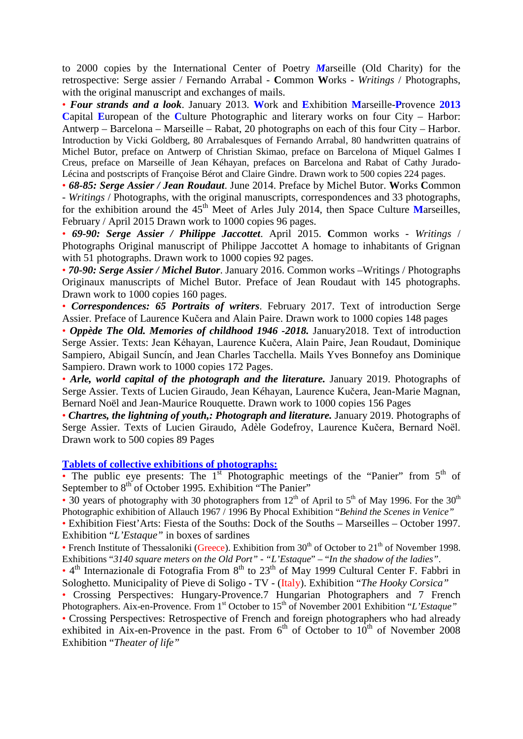to 2000 copies by the International Center of Poetry *M*arseille (Old Charity) for the retrospective: Serge assier / Fernando Arrabal - **C**ommon **W**orks - *Writings* / Photographs, with the original manuscript and exchanges of mails.

• *Four strands and a look*. January 2013. **W**ork and **E**xhibition **M**arseille-**P**rovence **2013 C**apital **E**uropean of the **C**ulture Photographic and literary works on four City – Harbor: Antwerp – Barcelona – Marseille – Rabat, 20 photographs on each of this four City – Harbor. Introduction by Vicki Goldberg, 80 Arrabalesques of Fernando Arrabal, 80 handwritten quatrains of Michel Butor, preface on Antwerp of Christian Skimao, preface on Barcelona of Miquel Galmes I Creus, preface on Marseille of Jean Kéhayan, prefaces on Barcelona and Rabat of Cathy Jurado-Lécina and postscripts of Françoise Bérot and Claire Gindre. Drawn work to 500 copies 224 pages.

• *68-85: Serge Assier / Jean Roudaut*. June 2014. Preface by Michel Butor. **W**orks **C**ommon - *Writings* / Photographs, with the original manuscripts, correspondences and 33 photographs, for the exhibition around the 45<sup>th</sup> Meet of Arles July 2014, then Space Culture Marseilles, February / April 2015 Drawn work to 1000 copies 96 pages.

• *69-90: Serge Assier / Philippe Jaccottet*. April 2015. **C**ommon works - *Writings* / Photographs Original manuscript of Philippe Jaccottet A homage to inhabitants of Grignan with 51 photographs. Drawn work to 1000 copies 92 pages.

• *70-90: Serge Assier / Michel Butor*. January 2016. Common works –Writings / Photographs Originaux manuscripts of Michel Butor. Preface of Jean Roudaut with 145 photographs. Drawn work to 1000 copies 160 pages.

• *Correspondences: 65 Portraits of writers*. February 2017. Text of introduction Serge Assier. Preface of Laurence Kučera and Alain Paire. Drawn work to 1000 copies 148 pages

• *Oppède The Old. Memories of childhood 1946 -2018.* January2018. Text of introduction Serge Assier. Texts: Jean Kéhayan, Laurence Kučera, Alain Paire, Jean Roudaut, Dominique Sampiero, Abigail Suncín, and Jean Charles Tacchella. Mails Yves Bonnefoy ans Dominique Sampiero. Drawn work to 1000 copies 172 Pages.

• *Arle, world capital of the photograph and the literature.* January 2019. Photographs of Serge Assier. Texts of Lucien Giraudo, Jean Kéhayan, Laurence Kučera, Jean-Marie Magnan, Bernard Noël and Jean-Maurice Rouquette. Drawn work to 1000 copies 156 Pages

• *Chartres, the lightning of youth,: Photograph and literature. January 2019. Photographs of* Serge Assier. Texts of Lucien Giraudo, Adèle Godefroy, Laurence Kučera, Bernard Noël. Drawn work to 500 copies 89 Pages

#### **Tablets of collective exhibitions of photographs:**

• The public eye presents: The  $1<sup>st</sup>$  Photographic meetings of the "Panier" from  $5<sup>th</sup>$  of September to 8<sup>th</sup> of October 1995. Exhibition "The Panier"

• 30 years of photography with 30 photographers from 12<sup>th</sup> of April to 5<sup>th</sup> of May 1996. For the 30<sup>th</sup> Photographic exhibition of Allauch 1967 / 1996 By Phocal Exhibition "*Behind the Scenes in Venice"*

• Exhibition Fiest'Arts: Fiesta of the Souths: Dock of the Souths – Marseilles – October 1997. Exhibition "*L'Estaque"* in boxes of sardines

• French Institute of Thessaloniki (Greece). Exhibition from 30<sup>th</sup> of October to 21<sup>th</sup> of November 1998. Exhibitions "*3140 square meters on the Old Port"* - *"L'Estaque*" – "*In the shadow of the ladies"*.

•  $4<sup>th</sup>$  Internazionale di Fotografia From  $8<sup>th</sup>$  to  $23<sup>th</sup>$  of May 1999 Cultural Center F. Fabbri in Sologhetto. Municipality of Pieve di Soligo - TV - (Italy). Exhibition "*The Hooky Corsica"*

• Crossing Perspectives: Hungary-Provence.7 Hungarian Photographers and 7 French Photographers. Aix-en-Provence. From 1<sup>st</sup> October to 15<sup>th</sup> of November 2001 Exhibition "*L'Estaque*"

• Crossing Perspectives: Retrospective of French and foreign photographers who had already exhibited in Aix-en-Provence in the past. From  $6<sup>th</sup>$  of October to  $10<sup>th</sup>$  of November 2008 Exhibition "*Theater of life"*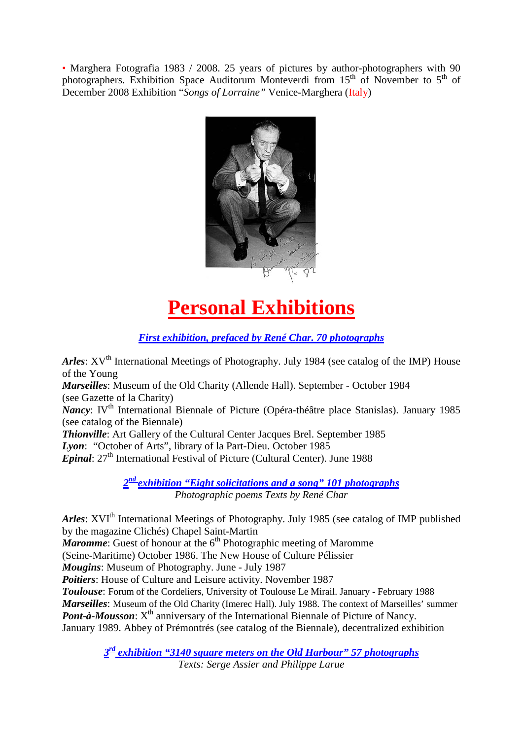• Marghera Fotografia 1983 / 2008. 25 years of pictures by author-photographers with 90 photographers. Exhibition Space Auditorum Monteverdi from  $15<sup>th</sup>$  of November to  $5<sup>th</sup>$  of December 2008 Exhibition "*Songs of Lorraine"* Venice-Marghera (Italy)



# **Personal Exhibitions**

*First exhibition, prefaced by René Char. 70 photographs*

*Arles*: XV<sup>th</sup> International Meetings of Photography. July 1984 (see catalog of the IMP) House of the Young

*Marseilles*: Museum of the Old Charity (Allende Hall). September - October 1984 (see Gazette of la Charity)

*Nancy*: IV<sup>th</sup> International Biennale of Picture (Opéra-théâtre place Stanislas). January 1985 (see catalog of the Biennale)

*Thionville*: Art Gallery of the Cultural Center Jacques Brel. September 1985 *Lyon*: "October of Arts", library of la Part-Dieu. October 1985

**Epinal:** 27<sup>th</sup> International Festival of Picture (Cultural Center). June 1988

*2nd exhibition "Eight solicitations and a song" 101 photographs Photographic poems Texts by René Char*

*Arles*: XVI<sup>th</sup> International Meetings of Photography. July 1985 (see catalog of IMP published by the magazine Clichés) Chapel Saint-Martin

*Maromme*: Guest of honour at the 6<sup>th</sup> Photographic meeting of Maromme

(Seine-Maritime) October 1986. The New House of Culture Pélissier

*Mougins*: Museum of Photography. June - July 1987

*Poitiers*: House of Culture and Leisure activity. November 1987

*Toulouse*: Forum of the Cordeliers, University of Toulouse Le Mirail. January - February 1988 *Marseilles*: Museum of the Old Charity (Imerec Hall). July 1988. The context of Marseilles' summer *Pont-à-Mousson*:  $X^{th}$  anniversary of the International Biennale of Picture of Nancy. January 1989. Abbey of Prémontrés (see catalog of the Biennale), decentralized exhibition

> *3rd exhibition "3140 square meters on the Old Harbour" 57 photographs Texts: Serge Assier and Philippe Larue*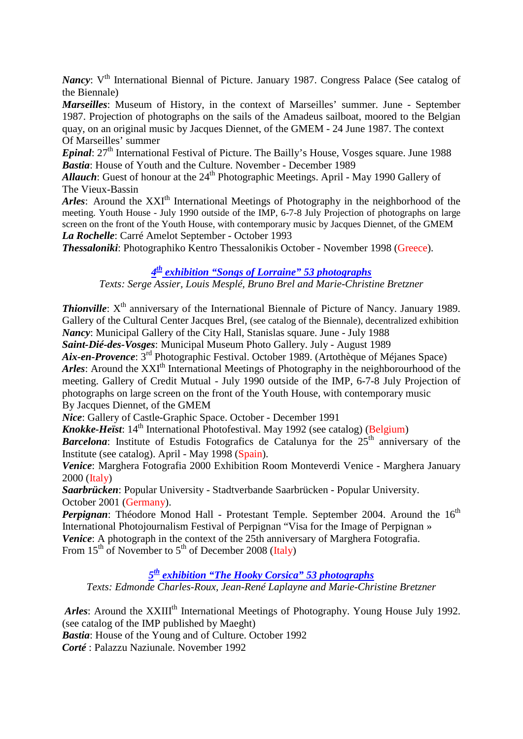*Nancy*: V<sup>th</sup> International Biennal of Picture. January 1987. Congress Palace (See catalog of the Biennale)

*Marseilles*: Museum of History, in the context of Marseilles' summer. June - September 1987. Projection of photographs on the sails of the Amadeus sailboat, moored to the Belgian quay, on an original music by Jacques Diennet, of the GMEM - 24 June 1987. The context Of Marseilles' summer

*Epinal*: 27<sup>th</sup> International Festival of Picture. The Bailly's House, Vosges square. June 1988 *Bastia*: House of Youth and the Culture. November - December 1989

*Allauch*: Guest of honour at the 24<sup>th</sup> Photographic Meetings. April - May 1990 Gallery of The Vieux-Bassin

*Arles*: Around the XXI<sup>th</sup> International Meetings of Photography in the neighborhood of the meeting. Youth House - July 1990 outside of the IMP, 6-7-8 July Projection of photographs on large screen on the front of the Youth House, with contemporary music by Jacques Diennet, of the GMEM *La Rochelle*: Carré Amelot September - October 1993

*Thessaloniki*: Photographiko Kentro Thessalonikis October - November 1998 (Greece).

#### *4th exhibition "Songs of Lorraine" 53 photographs*

*Texts: Serge Assier, Louis Mesplé, Bruno Brel and Marie-Christine Bretzner*

**Thionville**:  $X^{th}$  anniversary of the International Biennale of Picture of Nancy. January 1989. Gallery of the Cultural Center Jacques Brel, (see catalog of the Biennale), decentralized exhibition *Nancy*: Municipal Gallery of the City Hall, Stanislas square. June - July 1988

*Saint-Dié-des-Vosges*: Municipal Museum Photo Gallery. July - August 1989

*Aix-en-Provence*: 3rd Photographic Festival. October 1989. (Artothèque of Méjanes Space) *Arles*: Around the XXI<sup>th</sup> International Meetings of Photography in the neighborourhood of the meeting. Gallery of Credit Mutual - July 1990 outside of the IMP, 6-7-8 July Projection of photographs on large screen on the front of the Youth House, with contemporary music By Jacques Diennet, of the GMEM

*Nice*: Gallery of Castle-Graphic Space. October - December 1991

*Knokke-Heïst*: 14<sup>th</sup> International Photofestival. May 1992 (see catalog) (Belgium)

*Barcelona*: Institute of Estudis Fotografics de Catalunya for the 25<sup>th</sup> anniversary of the Institute (see catalog). April - May 1998 (Spain).

*Venice*: Marghera Fotografia 2000 Exhibition Room Monteverdi Venice - Marghera January 2000 (Italy)

*Saarbrücken*: Popular University - Stadtverbande Saarbrücken - Popular University. October 2001 (Germany).

*Perpignan*: Théodore Monod Hall - Protestant Temple. September 2004. Around the 16<sup>th</sup> International Photojournalism Festival of Perpignan "Visa for the Image of Perpignan » *Venice*: A photograph in the context of the 25th anniversary of Marghera Fotografia. From  $15^{th}$  of November to  $5^{th}$  of December 2008 (Italy)

*5th exhibition "The Hooky Corsica" 53 photographs*

*Texts: Edmonde Charles-Roux, Jean-René Laplayne and Marie-Christine Bretzner*

*Arles*: Around the XXIII<sup>th</sup> International Meetings of Photography. Young House July 1992. (see catalog of the IMP published by Maeght) *Bastia*: House of the Young and of Culture. October 1992

*Corté* : Palazzu Naziunale. November 1992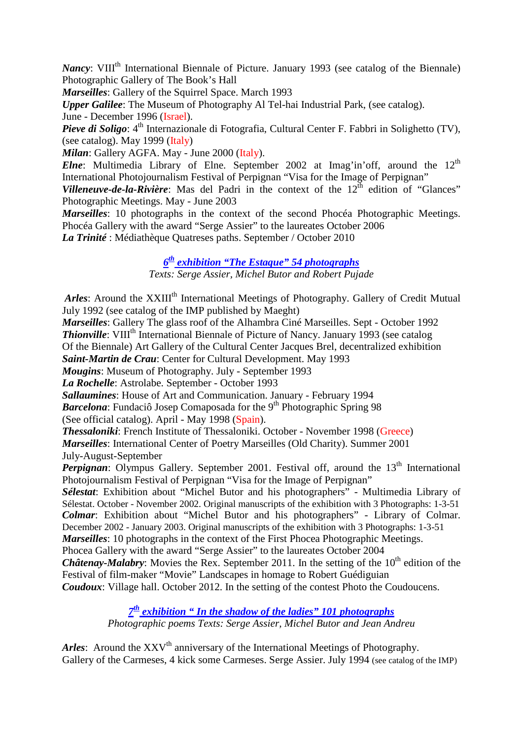*Nancy*: VIII<sup>th</sup> International Biennale of Picture. January 1993 (see catalog of the Biennale) Photographic Gallery of The Book's Hall

*Marseilles*: Gallery of the Squirrel Space. March 1993

*Upper Galilee*: The Museum of Photography Al Tel-hai Industrial Park, (see catalog).

June - December 1996 (Israel).

*Pieve di Soligo*: 4<sup>th</sup> Internazionale di Fotografia, Cultural Center F. Fabbri in Solighetto (TV), (see catalog). May 1999 (Italy)

*Milan*: Gallery AGFA. May - June 2000 (Italy).

*Elne*: Multimedia Library of Elne. September 2002 at Imag'in'off, around the  $12<sup>th</sup>$ International Photojournalism Festival of Perpignan "Visa for the Image of Perpignan"

*Villeneuve-de-la-Rivière*: Mas del Padri in the context of the  $12<sup>th</sup>$  edition of "Glances" Photographic Meetings. May - June 2003

*Marseilles*: 10 photographs in the context of the second Phocéa Photographic Meetings. Phocéa Gallery with the award "Serge Assier" to the laureates October 2006 *La Trinité* : Médiathèque Quatreses paths. September / October 2010

## *6th exhibition "The Estaque" 54 photographs*

*Texts: Serge Assier, Michel Butor and Robert Pujade*

*Arles*: Around the XXIII<sup>th</sup> International Meetings of Photography. Gallery of Credit Mutual July 1992 (see catalog of the IMP published by Maeght)

*Marseilles*: Gallery The glass roof of the Alhambra Ciné Marseilles. Sept - October 1992 **Thionville**: VIII<sup>th</sup> International Biennale of Picture of Nancy. January 1993 (see catalog Of the Biennale) Art Gallery of the Cultural Center Jacques Brel, decentralized exhibition *Saint-Martin de Crau*: Center for Cultural Development. May 1993 *Mougins*: Museum of Photography. July - September 1993 *La Rochelle*: Astrolabe. September - October 1993 *Sallaumines*: House of Art and Communication. January - February 1994 *Barcelona*: Fundaciô Josep Comaposada for the 9<sup>th</sup> Photographic Spring 98 (See official catalog). April - May 1998 (Spain). *Thessaloniki*: French Institute of Thessaloniki. October - November 1998 (Greece) *Marseilles*: International Center of Poetry Marseilles (Old Charity). Summer 2001 July-August-September *Perpignan*: Olympus Gallery. September 2001. Festival off, around the 13<sup>th</sup> International Photojournalism Festival of Perpignan "Visa for the Image of Perpignan" *Sélestat*: Exhibition about "Michel Butor and his photographers" - Multimedia Library of Sélestat. October - November 2002. Original manuscripts of the exhibition with 3 Photographs: 1-3-51

*Colmar*: Exhibition about "Michel Butor and his photographers" - Library of Colmar. December 2002 - January 2003. Original manuscripts of the exhibition with 3 Photographs: 1-3-51 *Marseilles*: 10 photographs in the context of the First Phocea Photographic Meetings.

Phocea Gallery with the award "Serge Assier" to the laureates October 2004

*Châtenay-Malabry*: Movies the Rex. September 2011. In the setting of the 10<sup>th</sup> edition of the Festival of film-maker "Movie" Landscapes in homage to Robert Guédiguian

*Coudoux*: Village hall. October 2012. In the setting of the contest Photo the Coudoucens.

#### *7th exhibition " In the shadow of the ladies" 101 photographs Photographic poems Texts: Serge Assier, Michel Butor and Jean Andreu*

*Arles*: Around the XXV<sup>th</sup> anniversary of the International Meetings of Photography. Gallery of the Carmeses, 4 kick some Carmeses. Serge Assier. July 1994 (see catalog of the IMP)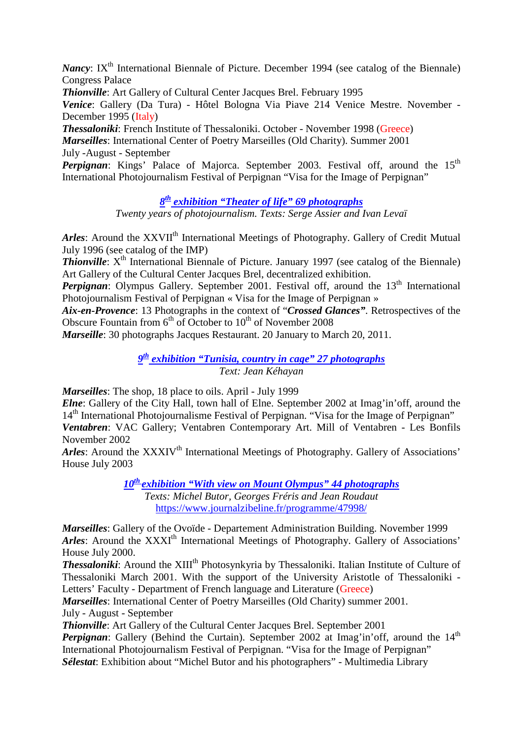*Nancy*: IX<sup>th</sup> International Biennale of Picture. December 1994 (see catalog of the Biennale) Congress Palace

*Thionville*: Art Gallery of Cultural Center Jacques Brel. February 1995

*Venice*: Gallery (Da Tura) - Hôtel Bologna Via Piave 214 Venice Mestre. November - December 1995 (Italy)

*Thessaloniki*: French Institute of Thessaloniki. October - November 1998 (Greece) *Marseilles*: International Center of Poetry Marseilles (Old Charity). Summer 2001 July -August - September

Perpignan: Kings' Palace of Majorca. September 2003. Festival off, around the 15<sup>th</sup> International Photojournalism Festival of Perpignan "Visa for the Image of Perpignan"

## *8th exhibition "Theater of life" 69 photographs*

*Twenty years of photojournalism. Texts: Serge Assier and Ivan Levaï*

*Arles*: Around the XXVII<sup>th</sup> International Meetings of Photography. Gallery of Credit Mutual July 1996 (see catalog of the IMP)

**Thionville**: X<sup>th</sup> International Biennale of Picture. January 1997 (see catalog of the Biennale) Art Gallery of the Cultural Center Jacques Brel, decentralized exhibition.

Perpignan: Olympus Gallery. September 2001. Festival off, around the 13<sup>th</sup> International Photojournalism Festival of Perpignan « Visa for the Image of Perpignan »

*Aix-en-Provence*: 13 Photographs in the context of "*Crossed Glances"*. Retrospectives of the Obscure Fountain from  $6<sup>th</sup>$  of October to  $10<sup>th</sup>$  of November 2008

*Marseille*: 30 photographs Jacques Restaurant. 20 January to March 20, 2011.

*9th exhibition "Tunisia, country in cage" 27 photographs Text: Jean Kéhayan*

*Marseilles*: The shop, 18 place to oils. April - July 1999

*Elne*: Gallery of the City Hall, town hall of Elne. September 2002 at Imag'in'off, around the 14<sup>th</sup> International Photojournalisme Festival of Perpignan. "Visa for the Image of Perpignan" *Ventabren*: VAC Gallery; Ventabren Contemporary Art. Mill of Ventabren - Les Bonfils November 2002

*Arles*: Around the XXXIV<sup>th</sup> International Meetings of Photography. Gallery of Associations' House July 2003

> *10th exhibition "With view on Mount Olympus" 44 photographs Texts: Michel Butor, Georges Fréris and Jean Roudaut* <https://www.journalzibeline.fr/programme/47998/>

*Marseilles*: Gallery of the Ovoïde - Departement Administration Building. November 1999 *Arles*: Around the XXXI<sup>th</sup> International Meetings of Photography. Gallery of Associations' House July 2000.

**Thessaloniki:** Around the XIII<sup>th</sup> Photosynkyria by Thessaloniki. Italian Institute of Culture of Thessaloniki March 2001. With the support of the University Aristotle of Thessaloniki - Letters' Faculty - Department of French language and Literature (Greece)

*Marseilles*: International Center of Poetry Marseilles (Old Charity) summer 2001. July - August - September

*Thionville*: Art Gallery of the Cultural Center Jacques Brel. September 2001

*Perpignan*: Gallery (Behind the Curtain). September 2002 at Imag'in'off, around the 14<sup>th</sup> International Photojournalism Festival of Perpignan. "Visa for the Image of Perpignan" *Sélestat*: Exhibition about "Michel Butor and his photographers" - Multimedia Library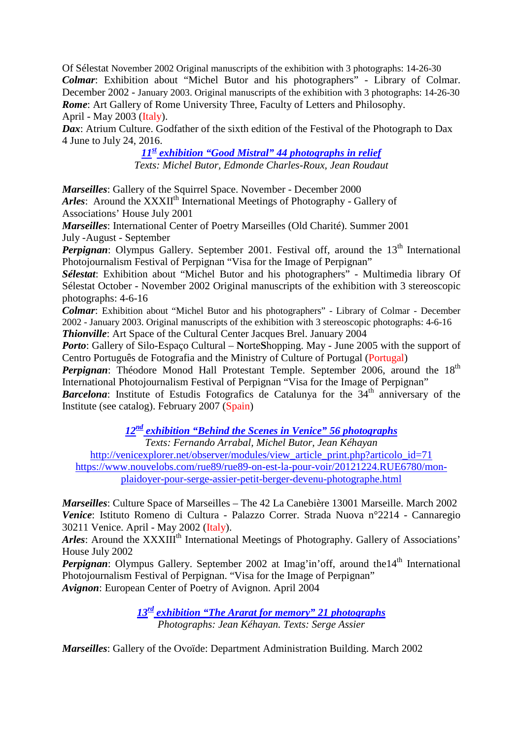Of Sélestat November 2002 Original manuscripts of the exhibition with 3 photographs: 14-26-30 *Colmar*: Exhibition about "Michel Butor and his photographers" - Library of Colmar. December 2002 - January 2003. Original manuscripts of the exhibition with 3 photographs: 14-26-30 *Rome*: Art Gallery of Rome University Three, Faculty of Letters and Philosophy. April - May 2003 (Italy).

*Dax*: Atrium Culture. Godfather of the sixth edition of the Festival of the Photograph to Dax 4 June to July 24, 2016.

> *11st exhibition "Good Mistral" 44 photographs in relief Texts: Michel Butor, Edmonde Charles-Roux, Jean Roudaut*

*Marseilles*: Gallery of the Squirrel Space. November - December 2000 *Arles*: Around the XXXII<sup>th</sup> International Meetings of Photography - Gallery of Associations' House July 2001

*Marseilles*: International Center of Poetry Marseilles (Old Charité). Summer 2001 July -August - September

*Perpignan*: Olympus Gallery. September 2001. Festival off, around the 13<sup>th</sup> International Photojournalism Festival of Perpignan "Visa for the Image of Perpignan"

*Sélestat*: Exhibition about "Michel Butor and his photographers" - Multimedia library Of Sélestat October - November 2002 Original manuscripts of the exhibition with 3 stereoscopic photographs: 4-6-16

*Colmar*: Exhibition about "Michel Butor and his photographers" - Library of Colmar - December 2002 - January 2003. Original manuscripts of the exhibition with 3 stereoscopic photographs: 4-6-16 *Thionville*: Art Space of the Cultural Center Jacques Brel. January 2004

*Porto*: Gallery of Silo-Espaço Cultural – **N**orte**S**hopping. May - June 2005 with the support of Centro Português de Fotografia and the Ministry of Culture of Portugal (Portugal)

Perpignan: Théodore Monod Hall Protestant Temple. September 2006, around the 18<sup>th</sup> International Photojournalism Festival of Perpignan "Visa for the Image of Perpignan"

**Barcelona**: Institute of Estudis Fotografics de Catalunya for the  $34<sup>th</sup>$  anniversary of the Institute (see catalog). February 2007 (Spain)

*12nd exhibition "Behind the Scenes in Venice" 56 photographs*

*Texts: Fernando Arrabal, Michel Butor, Jean Kéhayan*

http://venicexplorer.net/observer/modules/view article print.php?articolo\_id=71

[https://www.nouvelobs.com/rue89/rue89-on-est-la-pour-voir/20121224.RUE6780/mon](https://www.nouvelobs.com/rue89/rue89-on-est-la-pour-voir/20121224.RUE6780/mon-plaidoyer-pour-serge-assier-petit-berger-devenu-photographe.html)[plaidoyer-pour-serge-assier-petit-berger-devenu-photographe.html](https://www.nouvelobs.com/rue89/rue89-on-est-la-pour-voir/20121224.RUE6780/mon-plaidoyer-pour-serge-assier-petit-berger-devenu-photographe.html)

*Marseilles*: Culture Space of Marseilles – The 42 La Canebière 13001 Marseille. March 2002 *Venice*: Istituto Romeno di Cultura - Palazzo Correr. Strada Nuova n°2214 - Cannaregio 30211 Venice. April - May 2002 (Italy).

*Arles*: Around the XXXIII<sup>th</sup> International Meetings of Photography. Gallery of Associations' House July 2002

*Perpignan*: Olympus Gallery. September 2002 at Imag'in'off, around the 14<sup>th</sup> International Photojournalism Festival of Perpignan. "Visa for the Image of Perpignan" *Avignon*: European Center of Poetry of Avignon. April 2004

> *13rd exhibition "The Ararat for memory" 21 photographs Photographs: Jean Kéhayan. Texts: Serge Assier*

*Marseilles*: Gallery of the Ovoïde: Department Administration Building. March 2002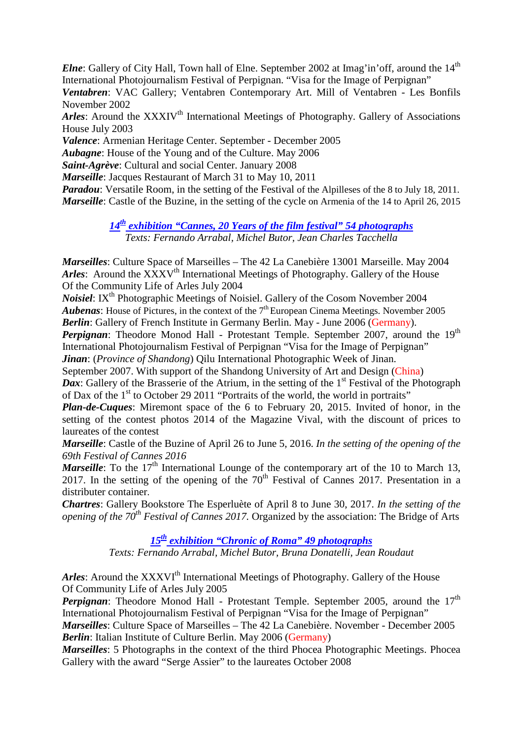*Elne*: Gallery of City Hall, Town hall of Elne. September 2002 at Imag'in'off, around the 14<sup>th</sup> International Photojournalism Festival of Perpignan. "Visa for the Image of Perpignan"

*Ventabren*: VAC Gallery; Ventabren Contemporary Art. Mill of Ventabren - Les Bonfils November 2002

*Arles*: Around the XXXIV<sup>th</sup> International Meetings of Photography. Gallery of Associations House July 2003

*Valence*: Armenian Heritage Center. September - December 2005

*Aubagne*: House of the Young and of the Culture. May 2006

*Saint-Agrève*: Cultural and social Center. January 2008

*Marseille*: Jacques Restaurant of March 31 to May 10, 2011

*Paradou*: Versatile Room, in the setting of the Festival of the Alpilleses of the 8 to July 18, 2011. *Marseille*: Castle of the Buzine, in the setting of the cycle on Armenia of the 14 to April 26, 2015

> *14th exhibition "Cannes, 20 Years of the film festival" 54 photographs Texts: Fernando Arrabal, Michel Butor, Jean Charles Tacchella*

*Marseilles*: Culture Space of Marseilles – The 42 La Canebière 13001 Marseille. May 2004 *Arles*: Around the XXXV<sup>th</sup> International Meetings of Photography. Gallery of the House Of the Community Life of Arles July 2004

*Noisiel*: IX<sup>th</sup> Photographic Meetings of Noisiel. Gallery of the Cosom November 2004 *Aubenas*: House of Pictures, in the context of the 7<sup>th</sup> European Cinema Meetings. November 2005 *Berlin*: Gallery of French Institute in Germany Berlin. May - June 2006 (Germany).

Perpignan: Theodore Monod Hall - Protestant Temple. September 2007, around the 19<sup>th</sup> International Photojournalism Festival of Perpignan "Visa for the Image of Perpignan" *Jinan*: (*Province of Shandong*) Qilu International Photographic Week of Jinan.

September 2007. With support of the Shandong University of Art and Design (China)

*Dax*: Gallery of the Brasserie of the Atrium, in the setting of the 1<sup>st</sup> Festival of the Photograph of Dax of the 1<sup>st</sup> to October 29 2011 "Portraits of the world, the world in portraits"

*Plan-de-Cuques*: Miremont space of the 6 to February 20, 2015. Invited of honor, in the setting of the contest photos 2014 of the Magazine Vival, with the discount of prices to laureates of the contest

*Marseille*: Castle of the Buzine of April 26 to June 5, 2016. *In the setting of the opening of the 69th Festival of Cannes 2016*

*Marseille*: To the 17<sup>th</sup> International Lounge of the contemporary art of the 10 to March 13, 2017. In the setting of the opening of the  $70<sup>th</sup>$  Festival of Cannes 2017. Presentation in a distributer container.

*Chartres*: Gallery Bookstore The Esperluète of April 8 to June 30, 2017. *In the setting of the opening of the 70<sup>th</sup> Festival of Cannes 2017.* Organized by the association: The Bridge of Arts

*15th exhibition "Chronic of Roma" 49 photographs*

*Texts: Fernando Arrabal, Michel Butor, Bruna Donatelli, Jean Roudaut*

*Arles*: Around the XXXVI<sup>th</sup> International Meetings of Photography. Gallery of the House Of Community Life of Arles July 2005

*Perpignan*: Theodore Monod Hall - Protestant Temple. September 2005, around the 17<sup>th</sup> International Photojournalism Festival of Perpignan "Visa for the Image of Perpignan"

*Marseilles*: Culture Space of Marseilles – The 42 La Canebière. November - December 2005 *Berlin*: Italian Institute of Culture Berlin. May 2006 (Germany)

*Marseilles*: 5 Photographs in the context of the third Phocea Photographic Meetings. Phocea Gallery with the award "Serge Assier" to the laureates October 2008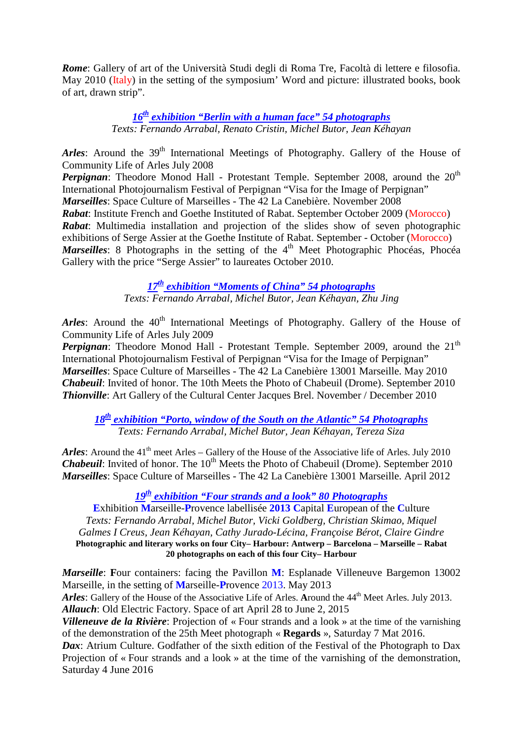*Rome*: Gallery of art of the Università Studi degli di Roma Tre, Facoltà di lettere e filosofia. May 2010 (Italy) in the setting of the symposium' Word and picture: illustrated books, book of art, drawn strip".

> *16th exhibition "Berlin with a human face" 54 photographs Texts: Fernando Arrabal, Renato Cristin, Michel Butor, Jean Kéhayan*

*Arles*: Around the 39<sup>th</sup> International Meetings of Photography. Gallery of the House of Community Life of Arles July 2008

*Perpignan*: Theodore Monod Hall - Protestant Temple. September 2008, around the 20<sup>th</sup> International Photojournalism Festival of Perpignan "Visa for the Image of Perpignan" *Marseilles*: Space Culture of Marseilles - The 42 La Canebière. November 2008 *Rabat*: Institute French and Goethe Instituted of Rabat. September October 2009 (Morocco) *Rabat*: Multimedia installation and projection of the slides show of seven photographic exhibitions of Serge Assier at the Goethe Institute of Rabat. September - October (Morocco) *Marseilles*: 8 Photographs in the setting of the 4<sup>th</sup> Meet Photographic Phocéas, Phocéa Gallery with the price "Serge Assier" to laureates October 2010.

*17th exhibition "Moments of China" 54 photographs*

*Texts: Fernando Arrabal, Michel Butor, Jean Kéhayan, Zhu Jing*

*Arles*: Around the 40<sup>th</sup> International Meetings of Photography. Gallery of the House of Community Life of Arles July 2009

*Perpignan*: Theodore Monod Hall - Protestant Temple. September 2009, around the 21<sup>th</sup> International Photojournalism Festival of Perpignan "Visa for the Image of Perpignan" *Marseilles*: Space Culture of Marseilles - The 42 La Canebière 13001 Marseille. May 2010 *Chabeuil*: Invited of honor. The 10th Meets the Photo of Chabeuil (Drome). September 2010 *Thionville*: Art Gallery of the Cultural Center Jacques Brel. November / December 2010

*18th exhibition "Porto, window of the South on the Atlantic" 54 Photographs Texts: Fernando Arrabal, Michel Butor, Jean Kéhayan, Tereza Siza*

Arles: Around the 41<sup>th</sup> meet Arles – Gallery of the House of the Associative life of Arles. July 2010 *Chabeuil:* Invited of honor. The 10<sup>th</sup> Meets the Photo of Chabeuil (Drome). September 2010 *Marseilles*: Space Culture of Marseilles - The 42 La Canebière 13001 Marseille. April 2012

## *19th exhibition "Four strands and a look" 80 Photographs*

**E**xhibition **M**arseille-**P**rovence labellisée **2013 C**apital **E**uropean of the **C**ulture *Texts: Fernando Arrabal, Michel Butor, Vicki Goldberg, Christian Skimao, Miquel Galmes I Creus, Jean Kéhayan, Cathy Jurado-Lécina, Françoise Bérot, Claire Gindre* **Photographic and literary works on four City– Harbour: Antwerp – Barcelona – Marseille – Rabat 20 photographs on each of this four City– Harbour**

*Marseille*: Four containers: facing the Pavillon **M**: Esplanade Villeneuve Bargemon 13002 Marseille, in the setting of **M**arseille-**P**rovence 2013. May 2013 Arles: Gallery of the House of the Associative Life of Arles. Around the 44<sup>th</sup> Meet Arles. July 2013. *Allauch*: Old Electric Factory. Space of art April 28 to June 2, 2015

*Villeneuve de la Rivière*: Projection of « Four strands and a look » at the time of the varnishing of the demonstration of the 25th Meet photograph « **Regards** », Saturday 7 Mat 2016.

*Dax*: Atrium Culture. Godfather of the sixth edition of the Festival of the Photograph to Dax Projection of « Four strands and a look » at the time of the varnishing of the demonstration, Saturday 4 June 2016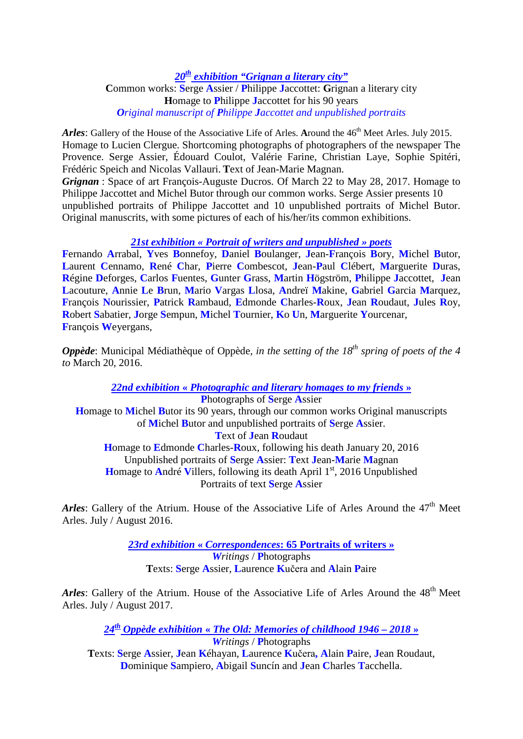*20th exhibition "Grignan a literary city"* **C**ommon works: **S**erge **A**ssier / **P**hilippe **J**accottet: **G**rignan a literary city **H**omage to **P**hilippe **J**accottet for his 90 years *Original manuscript of Philippe Jaccottet and unpublished portraits*

*Arles*: Gallery of the House of the Associative Life of Arles. Around the 46<sup>th</sup> Meet Arles. July 2015. Homage to Lucien Clergue. Shortcoming photographs of photographers of the newspaper The Provence. Serge Assier, Édouard Coulot, Valérie Farine, Christian Laye, Sophie Spitéri, Frédéric Speich and Nicolas Vallauri. **T**ext of Jean-Marie Magnan.

*Grignan* : Space of art François-Auguste Ducros. Of March 22 to May 28, 2017. Homage to Philippe Jaccottet and Michel Butor through our common works. Serge Assier presents 10 unpublished portraits of Philippe Jaccottet and 10 unpublished portraits of Michel Butor. Original manuscrits, with some pictures of each of his/her/its common exhibitions.

### *21st exhibition « Portrait of writers and unpublished » poets*

**F**ernando **A**rrabal, **Y**ves **B**onnefoy, **D**aniel **B**oulanger, **J**ean-**F**rançois **B**ory, **M**ichel **B**utor, **L**aurent **C**ennamo, **R**ené **C**har, **P**ierre **C**ombescot, **J**ean-**P**aul **C**lébert, **M**arguerite **D**uras, **R**égine **D**eforges, **C**arlos **F**uentes, **G**unter **G**rass, **M**artin **H**ögström, **P**hilippe **J**accottet, **J**ean **L**acouture, **A**nnie **L**e **B**run, **M**ario **V**argas **L**losa, **A**ndreï **M**akine, **G**abriel **G**arcia **M**arquez, **F**rançois **N**ourissier, **P**atrick **R**ambaud, **E**dmonde **C**harles-**R**oux, **J**ean **R**oudaut, **J**ules **R**oy, **R**obert **S**abatier, **J**orge **S**empun, **M**ichel **T**ournier, **K**o **U**n, **M**arguerite **Y**ourcenar, **F**rançois **W**eyergans,

*Oppède*: Municipal Médiathèque of Oppède, *in the setting of the 18<sup>th</sup> spring of poets of the 4 to* March 20, 2016.

*22nd exhibition* **«** *Photographic and literary homages to my friends* **» P**hotographs of **S**erge **A**ssier

**H**omage to **M**ichel **B**utor its 90 years, through our common works Original manuscripts of **M**ichel **B**utor and unpublished portraits of **S**erge **A**ssier. **T**ext of **J**ean **R**oudaut **H**omage to **E**dmonde **C**harles-**R**oux, following his death January 20, 2016 Unpublished portraits of **S**erge **A**ssier: **T**ext **J**ean-**M**arie **M**agnan **H**omage to **André Villers**, following its death April  $1<sup>st</sup>$ , 2016 Unpublished Portraits of text **S**erge **A**ssier

Arles: Gallery of the Atrium. House of the Associative Life of Arles Around the 47<sup>th</sup> Meet Arles. July / August 2016.

> *23rd exhibition* **«** *Correspondences***: 65 Portraits of writers »** *Writings* / **P**hotographs **T**exts: **S**erge **A**ssier, **L**aurence **K**učera and **A**lain **P**aire

*Arles*: Gallery of the Atrium. House of the Associative Life of Arles Around the 48<sup>th</sup> Meet Arles. July / August 2017.

*24th Oppède exhibition* **«** *The Old: Memories of childhood 1946 – 2018* **»** *Writings* / **P**hotographs

**T**exts: **S**erge **A**ssier, **J**ean **K**éhayan, **L**aurence **K**učera**, A**lain **P**aire, **J**ean Roudaut, **D**ominique **S**ampiero, **A**bigail **S**uncín and **J**ean **C**harles **T**acchella.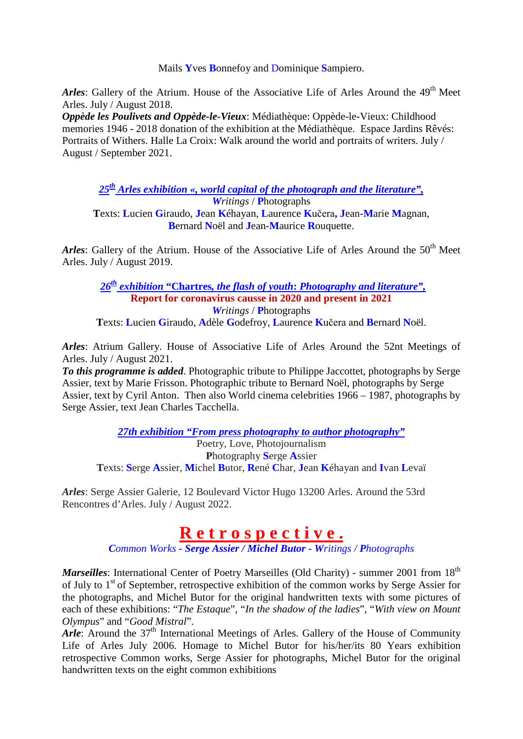Mails **Y**ves **B**onnefoy and Dominique **S**ampiero.

Arles: Gallery of the Atrium. House of the Associative Life of Arles Around the 49<sup>th</sup> Meet Arles. July / August 2018.

*Oppède les Poulivets and Oppède-le-Vieux*: Médiathèque: Oppède-le-Vieux: Childhood memories 1946 - 2018 donation of the exhibition at the Médiathèque. Espace Jardins Rêvés: Portraits of Withers. Halle La Croix: Walk around the world and portraits of writers. July / August / September 2021.

*25th Arles exhibition «, world capital of the photograph and the literature", Writings* / **P**hotographs

**T**exts: **L**ucien **G**iraudo, **J**ean **K**éhayan, **L**aurence **K**učera**, J**ean-**M**arie **M**agnan, **B**ernard **N**oël and **J**ean-**M**aurice **R**ouquette.

Arles: Gallery of the Atrium. House of the Associative Life of Arles Around the 50<sup>th</sup> Meet Arles. July / August 2019.

 *26th exhibition* **"Chartres***, the flash of youth***:** *Photography and literature",* **Report for coronavirus causse in 2020 and present in 2021** *Writings* / **P**hotographs

**T**exts: **L**ucien **G**iraudo, **A**dèle **G**odefroy, **L**aurence **K**učera and **B**ernard **N**oël.

*Arles*: Atrium Gallery. House of Associative Life of Arles Around the 52nt Meetings of Arles. July / August 2021.

*To this programme is added*. Photographic tribute to Philippe Jaccottet, photographs by Serge Assier, text by Marie Frisson. Photographic tribute to Bernard Noël, photographs by Serge Assier, text by Cyril Anton. Then also World cinema celebrities 1966 – 1987, photographs by Serge Assier, text Jean Charles Tacchella.

*27th exhibition "From press photography to author photography"*

Poetry, Love, Photojournalism **P**hotography **S**erge **A**ssier **T**exts: **S**erge **A**ssier, **M**ichel **B**utor, **R**ené **C**har, **J**ean **K**éhayan and **I**van **L**evaï

*Arles*: Serge Assier Galerie, 12 Boulevard Victor Hugo 13200 Arles. Around the 53rd Rencontres d'Arles. July / August 2022.

## **R e t r o s p e c t i v e .**

*Common Works - Serge Assier / Michel Butor - Writings / Photographs*

*Marseilles*: International Center of Poetry Marseilles (Old Charity) - summer 2001 from 18<sup>th</sup> of July to  $1<sup>st</sup>$  of September, retrospective exhibition of the common works by Serge Assier for the photographs, and Michel Butor for the original handwritten texts with some pictures of each of these exhibitions: "*The Estaque*", "*In the shadow of the ladies*", "*With view on Mount Olympus*" and "*Good Mistral*".

Arle: Around the 37<sup>th</sup> International Meetings of Arles. Gallery of the House of Community Life of Arles July 2006. Homage to Michel Butor for his/her/its 80 Years exhibition retrospective Common works, Serge Assier for photographs, Michel Butor for the original handwritten texts on the eight common exhibitions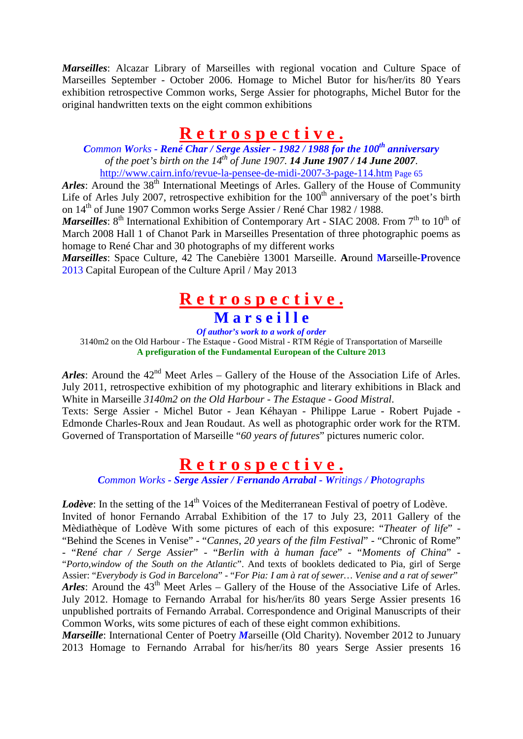*Marseilles*: Alcazar Library of Marseilles with regional vocation and Culture Space of Marseilles September - October 2006. Homage to Michel Butor for his/her/its 80 Years exhibition retrospective Common works, Serge Assier for photographs, Michel Butor for the original handwritten texts on the eight common exhibitions

## **R e t r o s p e c t i v e .**

*Common Works - René Char / Serge Assier - 1982 / 1988 for the 100th anniversary of the poet's birth on the 14th of June 1907. 14 June 1907 / 14 June 2007*. <http://www.cairn.info/revue-la-pensee-de-midi-2007-3-page-114.htm> Page 65

*Arles*: Around the 38<sup>th</sup> International Meetings of Arles. Gallery of the House of Community Life of Arles July 2007, retrospective exhibition for the  $100<sup>th</sup>$  anniversary of the poet's birth on 14th of June 1907 Common works Serge Assier / René Char 1982 / 1988.

*Marseilles*: 8<sup>th</sup> International Exhibition of Contemporary Art - SIAC 2008. From 7<sup>th</sup> to 10<sup>th</sup> of March 2008 Hall 1 of Chanot Park in Marseilles Presentation of three photographic poems as homage to René Char and 30 photographs of my different works

*Marseilles*: Space Culture, 42 The Canebière 13001 Marseille. **A**round **M**arseille-**P**rovence 2013 Capital European of the Culture April / May 2013

## **R e t r o s p e c t i v e . M a r s e i l l e**

*Of author's work to a work of order*

3140m2 on the Old Harbour - The Estaque - Good Mistral - RTM Régie of Transportation of Marseille **A prefiguration of the Fundamental European of the Culture 2013**

*Arles*: Around the  $42<sup>nd</sup>$  Meet Arles – Gallery of the House of the Association Life of Arles. July 2011, retrospective exhibition of my photographic and literary exhibitions in Black and White in Marseille *3140m2 on the Old Harbour* - *The Estaque* - *Good Mistral*.

Texts: Serge Assier - Michel Butor - Jean Kéhayan - Philippe Larue - Robert Pujade - Edmonde Charles-Roux and Jean Roudaut. As well as photographic order work for the RTM. Governed of Transportation of Marseille "*60 years of futures*" pictures numeric color.

## **R e t r o s p e c t i v e .**

*Common Works - Serge Assier / Fernando Arrabal - Writings / Photographs*

*Lodève*: In the setting of the 14<sup>th</sup> Voices of the Mediterranean Festival of poetry of Lodève. Invited of honor Fernando Arrabal Exhibition of the 17 to July 23, 2011 Gallery of the Mèdiathèque of Lodève With some pictures of each of this exposure: "*Theater of life*" - "Behind the Scenes in Venise" - "*Cannes, 20 years of the film Festival*" - "Chronic of Rome" - "*René char / Serge Assier*" - "*Berlin with à human face*" - "*Moments of China*" - "*Porto,window of the South on the Atlantic*". And texts of booklets dedicated to Pia, girl of Serge Assier: "*Everybody is God in Barcelona*" - "*For Pia: I am à rat of sewer… Venise and a rat of sewer*" Arles: Around the 43<sup>th</sup> Meet Arles – Gallery of the House of the Associative Life of Arles. July 2012. Homage to Fernando Arrabal for his/her/its 80 years Serge Assier presents 16 unpublished portraits of Fernando Arrabal. Correspondence and Original Manuscripts of their Common Works, wits some pictures of each of these eight common exhibitions.

*Marseille*: International Center of Poetry *Marseille* (Old Charity). November 2012 to Junuary 2013 Homage to Fernando Arrabal for his/her/its 80 years Serge Assier presents 16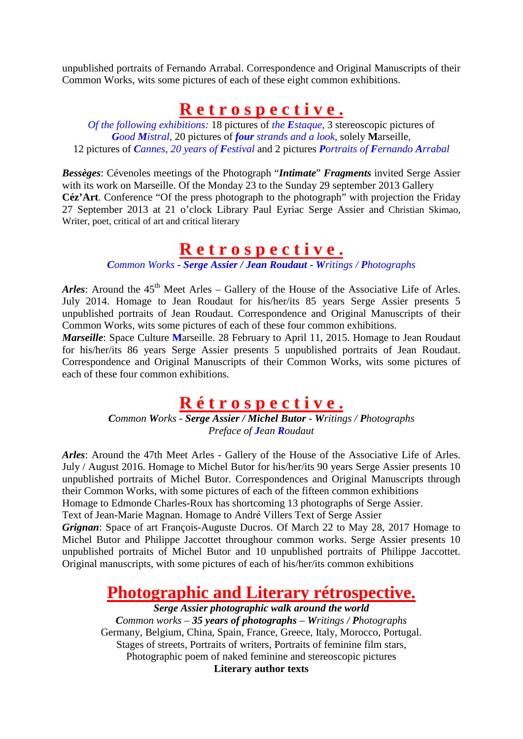unpublished portraits of Fernando Arrabal. Correspondence and Original Manuscripts of their Common Works, wits some pictures of each of these eight common exhibitions.

## **R e t r o s p e c t i v e .**

*Of the following exhibitions:* 18 pictures of *the Estaque,* 3 stereoscopic pictures of *Good Mistral,* 20 pictures of *four strands and a look,* solely **M**arseille*,* 12 pictures of *Cannes, 20 years of Festival* and 2 pictures *Portraits of Fernando Arrabal*

*Bessèges*: Cévenoles meetings of the Photograph "*Intimate*" *Fragments* invited Serge Assier with its work on Marseille. Of the Monday 23 to the Sunday 29 september 2013 Gallery **Céz'Art**. Conference "Of the press photograph to the photograph" with projection the Friday 27 September 2013 at 21 o'clock Library Paul Eyriac Serge Assier and Christian Skimao, Writer, poet, critical of art and critical literary

## **R e t r o s p e c t i v e .**

*Common Works - Serge Assier / Jean Roudaut - Writings / Photographs*

Arles: Around the 45<sup>th</sup> Meet Arles – Gallery of the House of the Associative Life of Arles. July 2014. Homage to Jean Roudaut for his/her/its 85 years Serge Assier presents 5 unpublished portraits of Jean Roudaut. Correspondence and Original Manuscripts of their Common Works, wits some pictures of each of these four common exhibitions.

*Marseille*: Space Culture **M**arseille. 28 February to April 11, 2015. Homage to Jean Roudaut for his/her/its 86 years Serge Assier presents 5 unpublished portraits of Jean Roudaut. Correspondence and Original Manuscripts of their Common Works, wits some pictures of each of these four common exhibitions.

## **R é t r o s p e c t i v e .**

*Common Works - Serge Assier / Michel Butor - Writings / Photographs Preface of Jean Roudaut*

*Arles*: Around the 47th Meet Arles - Gallery of the House of the Associative Life of Arles. July / August 2016. Homage to Michel Butor for his/her/its 90 years Serge Assier presents 10 unpublished portraits of Michel Butor. Correspondences and Original Manuscripts through their Common Works, with some pictures of each of the fifteen common exhibitions Homage to Edmonde Charles-Roux has shortcoming 13 photographs of Serge Assier. Text of Jean-Marie Magnan. Homage to André Villers Text of Serge Assier *Grignan*: Space of art François-Auguste Ducros. Of March 22 to May 28, 2017 Homage to Michel Butor and Philippe Jaccottet throughour common works. Serge Assier presents 10 unpublished portraits of Michel Butor and 10 unpublished portraits of Philippe Jaccottet. Original manuscripts, with some pictures of each of his/her/its common exhibitions

## **Photographic and Literary rétrospective.**

*Serge Assier photographic walk around the world Common works – 35 years of photographs – Writings / Photographs* Germany, Belgium, China, Spain, France, Greece, Italy, Morocco, Portugal. Stages of streets, Portraits of writers, Portraits of feminine film stars, Photographic poem of naked feminine and stereoscopic pictures **Literary author texts**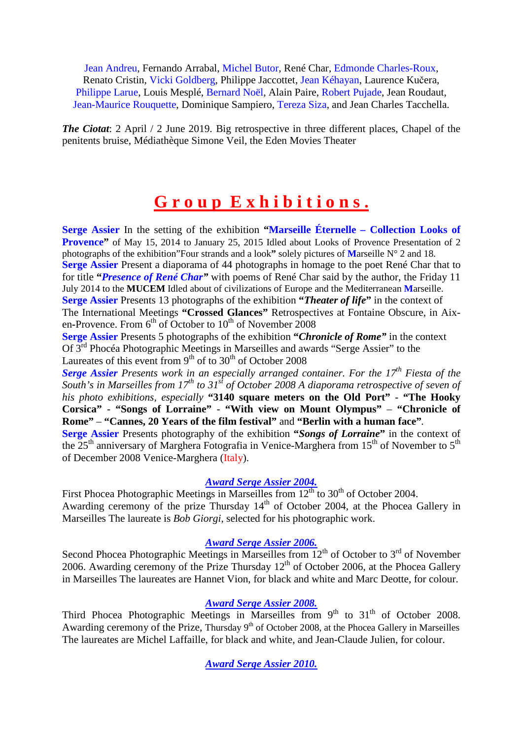Jean Andreu, Fernando Arrabal, Michel Butor, René Char, Edmonde Charles-Roux, Renato Cristin, Vicki Goldberg, Philippe Jaccottet, Jean Kéhayan, Laurence Kučera, Philippe Larue, Louis Mesplé, Bernard Noël, Alain Paire, Robert Pujade, Jean Roudaut, Jean-Maurice Rouquette, Dominique Sampiero, Tereza Siza, and Jean Charles Tacchella.

*The Ciotat*: 2 April / 2 June 2019. Big retrospective in three different places, Chapel of the penitents bruise, Médiathèque Simone Veil, the Eden Movies Theater

## **G r o u p E x h i b i t i o n s .**

**Serge Assier** In the setting of the exhibition **"Marseille Éternelle – Collection Looks of Provence"** of May 15, 2014 to January 25, 2015 Idled about Looks of Provence Presentation of 2 photographs of the exhibition"Four strands and a look**"** solely pictures of **M**arseille N° 2 and 18. **Serge Assier** Present a diaporama of 44 photographs in homage to the poet René Char that to for title **"***Presence of René Char"* with poems of René Char said by the author, the Friday 11 July 2014 to the **MUCEM** Idled about of civilizations of Europe and the Mediterranean **M**arseille. **Serge Assier** Presents 13 photographs of the exhibition **"***Theater of life***"** in the context of The International Meetings **"Crossed Glances"** Retrospective*s* at Fontaine Obscure, in Aixen-Provence. From 6<sup>th</sup> of October to 10<sup>th</sup> of November 2008

**Serge Assier** Presents 5 photographs of the exhibition **"***Chronicle of Rome"* in the context Of 3rd Phocéa Photographic Meetings in Marseilles and awards "Serge Assier" to the Laureates of this event from  $9<sup>th</sup>$  of to  $30<sup>th</sup>$  of October 2008

*Serge Assier Presents work in an especially arranged container. For the 17<sup>th</sup> Fiesta of the South's in Marseilles from 17th to 31st of October 2008 A diaporama retrospective of seven of his photo exhibitions, especially* **"3140 square meters on the Old Port"** - **"The Hooky Corsica"** - **"Songs of Lorraine"** - **"With view on Mount Olympus"** – **"Chronicle of Rome"** – **"Cannes, 20 Years of the film festival"** and **"Berlin with a human face"***.*

**Serge Assier** Presents photography of the exhibition **"***Songs of Lorraine***"** in the context of the  $25<sup>th</sup>$  anniversary of Marghera Fotografia in Venice-Marghera from 15<sup>th</sup> of November to  $5<sup>th</sup>$ of December 2008 Venice-Marghera (Italy).

#### *Award Serge Assier 2004.*

First Phocea Photographic Meetings in Marseilles from  $12<sup>th</sup>$  to  $30<sup>th</sup>$  of October 2004. Awarding ceremony of the prize Thursday 14<sup>th</sup> of October 2004, at the Phocea Gallery in Marseilles The laureate is *Bob Giorgi*, selected for his photographic work.

#### *Award Serge Assier 2006.*

Second Phocea Photographic Meetings in Marseilles from  $12<sup>th</sup>$  of October to  $3<sup>rd</sup>$  of November 2006. Awarding ceremony of the Prize Thursday  $12<sup>th</sup>$  of October 2006, at the Phocea Gallery in Marseilles The laureates are Hannet Vion, for black and white and Marc Deotte, for colour.

## *Award Serge Assier 2008.*

Third Phocea Photographic Meetings in Marseilles from 9<sup>th</sup> to 31<sup>th</sup> of October 2008. Awarding ceremony of the Prize, Thursday  $9<sup>th</sup>$  of October 2008, at the Phocea Gallery in Marseilles The laureates are Michel Laffaille, for black and white, and Jean-Claude Julien, for colour.

*Award Serge Assier 2010.*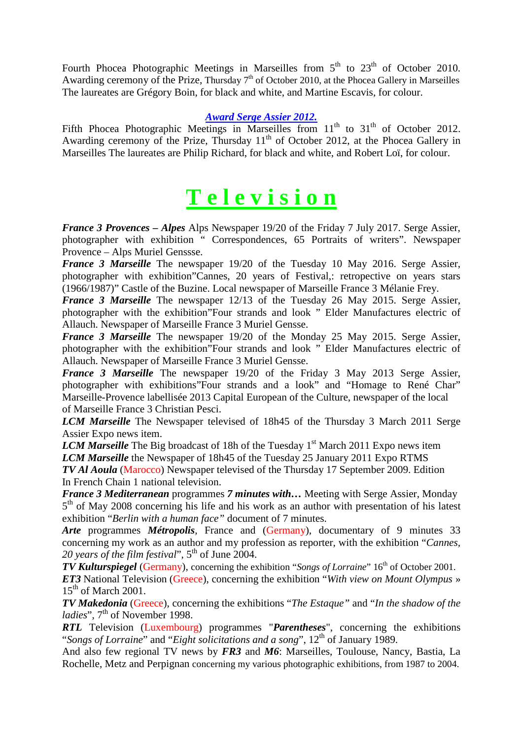Fourth Phocea Photographic Meetings in Marseilles from  $5<sup>th</sup>$  to  $23<sup>th</sup>$  of October 2010. Awarding ceremony of the Prize, Thursday  $7<sup>th</sup>$  of October 2010, at the Phocea Gallery in Marseilles The laureates are Grégory Boin, for black and white, and Martine Escavis, for colour.

#### *Award Serge Assier 2012.*

Fifth Phocea Photographic Meetings in Marseilles from  $11<sup>th</sup>$  to  $31<sup>th</sup>$  of October 2012. Awarding ceremony of the Prize, Thursday  $11<sup>th</sup>$  of October 2012, at the Phocea Gallery in Marseilles The laureates are Philip Richard, for black and white, and Robert Loï, for colour.

## **T e l e v i s i o n**

*France 3 Provences – Alpes* Alps Newspaper 19/20 of the Friday 7 July 2017. Serge Assier, photographer with exhibition " Correspondences, 65 Portraits of writers". Newspaper Provence – Alps Muriel Genssse.

*France 3 Marseille* The newspaper 19/20 of the Tuesday 10 May 2016. Serge Assier, photographer with exhibition"Cannes, 20 years of Festival,: retropective on years stars (1966/1987)" Castle of the Buzine. Local newspaper of Marseille France 3 Mélanie Frey.

*France 3 Marseille* The newspaper 12/13 of the Tuesday 26 May 2015. Serge Assier, photographer with the exhibition"Four strands and look " Elder Manufactures electric of Allauch. Newspaper of Marseille France 3 Muriel Gensse.

*France 3 Marseille* The newspaper 19/20 of the Monday 25 May 2015. Serge Assier, photographer with the exhibition"Four strands and look " Elder Manufactures electric of Allauch. Newspaper of Marseille France 3 Muriel Gensse.

*France 3 Marseille* The newspaper 19/20 of the Friday 3 May 2013 Serge Assier, photographer with exhibitions"Four strands and a look" and "Homage to René Char" Marseille-Provence labellisée 2013 Capital European of the Culture, newspaper of the local of Marseille France 3 Christian Pesci.

*LCM Marseille* The Newspaper televised of 18h45 of the Thursday 3 March 2011 Serge Assier Expo news item.

*LCM Marseille* The Big broadcast of 18h of the Tuesday 1<sup>st</sup> March 2011 Expo news item *LCM Marseille* the Newspaper of 18h45 of the Tuesday 25 January 2011 Expo RTMS *TV Al Aoula* (Marocco) Newspaper televised of the Thursday 17 September 2009. Edition In French Chain 1 national television.

*France 3 Mediterranean* programmes *7 minutes with…* Meeting with Serge Assier, Monday 5<sup>th</sup> of May 2008 concerning his life and his work as an author with presentation of his latest exhibition "*Berlin with a human face"* document of 7 minutes.

*Arte* programmes *Métropolis*, France and (Germany), documentary of 9 minutes 33 concerning my work as an author and my profession as reporter, with the exhibition "*Cannes, 20 years of the film festival*", 5th of June 2004.

*TV Kulturspiegel* (Germany), concerning the exhibition "*Songs of Lorraine*" 16<sup>th</sup> of October 2001. *ET3* National Television (Greece), concerning the exhibition "*With view on Mount Olympus* »  $15<sup>th</sup>$  of March 2001.

*TV Makedonia* (Greece), concerning the exhibitions "*The Estaque"* and "*In the shadow of the ladies*", 7<sup>th</sup> of November 1998.

*RTL* Television (Luxembourg) programmes "*Parentheses*", concerning the exhibitions "*Songs of Lorraine*" and "*Eight solicitations and a song*", 12<sup>th</sup> of January 1989.

And also few regional TV news by *FR3* and *M6*: Marseilles, Toulouse, Nancy, Bastia, La Rochelle, Metz and Perpignan concerning my various photographic exhibitions, from 1987 to 2004.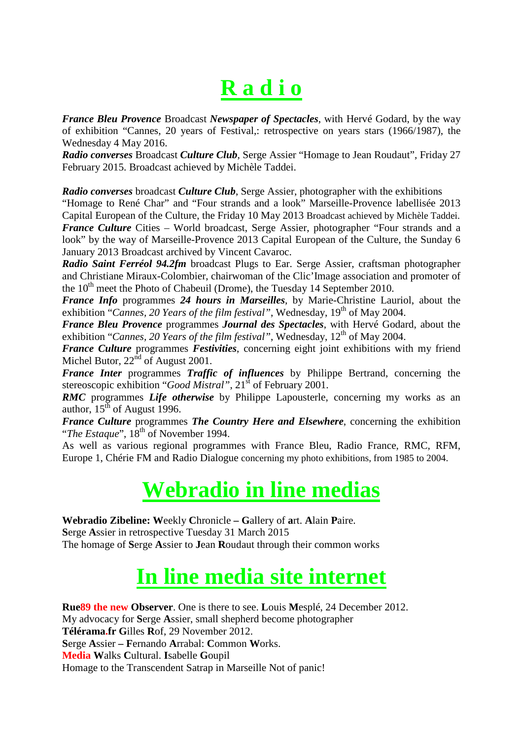# **R a d i o**

*France Bleu Provence* Broadcast *Newspaper of Spectacles*, with Hervé Godard, by the way of exhibition "Cannes, 20 years of Festival,: retrospective on years stars (1966/1987), the Wednesday 4 May 2016.

*Radio converses* Broadcast *Culture Club*, Serge Assier "Homage to Jean Roudaut", Friday 27 February 2015. Broadcast achieved by Michèle Taddei.

*Radio converses* broadcast *Culture Club*, Serge Assier, photographer with the exhibitions

"Homage to René Char" and "Four strands and a look" Marseille-Provence labellisée 2013 Capital European of the Culture, the Friday 10 May 2013 Broadcast achieved by Michèle Taddei. *France Culture* Cities – World broadcast, Serge Assier, photographer "Four strands and a look" by the way of Marseille-Provence 2013 Capital European of the Culture, the Sunday 6 January 2013 Broadcast archived by Vincent Cavaroc.

*Radio Saint Ferréol 94.2fm* broadcast Plugs to Ear. Serge Assier, craftsman photographer and Christiane Miraux-Colombier, chairwoman of the Clic'Image association and promoter of the  $10<sup>th</sup>$  meet the Photo of Chabeuil (Drome), the Tuesday 14 September 2010.

*France Info* programmes *24 hours in Marseilles*, by Marie-Christine Lauriol, about the exhibition "*Cannes, 20 Years of the film festival*", Wednesday, 19<sup>th</sup> of May 2004.

*France Bleu Provence* programmes *Journal des Spectacles*, with Hervé Godard, about the exhibition "*Cannes, 20 Years of the film festival*", Wednesday, 12<sup>th</sup> of May 2004.

*France Culture* programmes *Festivities*, concerning eight joint exhibitions with my friend Michel Butor,  $22^{\text{nd}}$  of August 2001.

*France Inter* programmes *Traffic of influences* by Philippe Bertrand, concerning the stereoscopic exhibition "*Good Mistral*", 21<sup>st</sup> of February 2001.

*RMC* programmes *Life otherwise* by Philippe Lapousterle, concerning my works as an author,  $15^{th}$  of August 1996.

*France Culture* programmes *The Country Here and Elsewhere*, concerning the exhibition "The Estaque", 18<sup>th</sup> of November 1994.

As well as various regional programmes with France Bleu, Radio France, RMC, RFM, Europe 1, Chérie FM and Radio Dialogue concerning my photo exhibitions, from 1985 to 2004.

# **Webradio in line medias**

**Webradio Zibeline: W**eekly **C**hronicle **– G**allery of **a**rt. **A**lain **P**aire. **S**erge **A**ssier in retrospective Tuesday 31 March 2015 The homage of **S**erge **A**ssier to **J**ean **R**oudaut through their common works

# **In line media site internet**

**Rue89 the new Observer**. One is there to see. **L**ouis **M**esplé, 24 December 2012. My advocacy for **S**erge **A**ssier, small shepherd become photographer **Télérama.fr G**illes **R**of, 29 November 2012. **S**erge **A**ssier **– F**ernando **A**rrabal: **C**ommon **W**orks. **Media W**alks **C**ultural. **I**sabelle **G**oupil Homage to the Transcendent Satrap in Marseille Not of panic!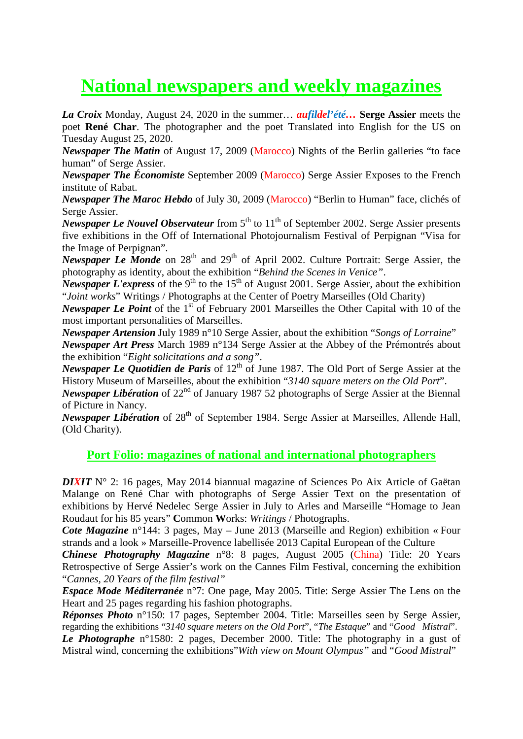# **National newspapers and weekly magazines**

*La Croix* Monday, August 24, 2020 in the summer… *aufildel'été…* **Serge Assier** meets the poet **René Char**. The photographer and the poet Translated into English for the US on Tuesday August 25, 2020.

*Newspaper The Matin* of August 17, 2009 (Marocco) Nights of the Berlin galleries "to face human" of Serge Assier.

*Newspaper The Économiste* September 2009 (Marocco) Serge Assier Exposes to the French institute of Rabat.

*Newspaper The Maroc Hebdo* of July 30, 2009 (Marocco) "Berlin to Human" face, clichés of Serge Assier.

*Newspaper Le Nouvel Observateur* from  $5<sup>th</sup>$  to  $11<sup>th</sup>$  of September 2002. Serge Assier presents five exhibitions in the Off of International Photojournalism Festival of Perpignan "Visa for the Image of Perpignan".

*Newspaper Le Monde* on 28<sup>th</sup> and 29<sup>th</sup> of April 2002. Culture Portrait: Serge Assier, the photography as identity, about the exhibition "*Behind the Scenes in Venice"*.

*Newspaper L'express* of the 9<sup>th</sup> to the 15<sup>th</sup> of August 2001. Serge Assier, about the exhibition "*Joint works*" Writings / Photographs at the Center of Poetry Marseilles (Old Charity)

*Newspaper Le Point* of the 1<sup>st</sup> of February 2001 Marseilles the Other Capital with 10 of the most important personalities of Marseilles.

*Newspaper Artension* July 1989 n°10 Serge Assier, about the exhibition "*Songs of Lorraine*" *Newspaper Art Press* March 1989 n°134 Serge Assier at the Abbey of the Prémontrés about the exhibition "*Eight solicitations and a song"*.

*Newspaper Le Quotidien de Paris* of 12<sup>th</sup> of June 1987. The Old Port of Serge Assier at the History Museum of Marseilles, about the exhibition "*3140 square meters on the Old Port*".

*Newspaper Libération* of 22<sup>nd</sup> of January 1987 52 photographs of Serge Assier at the Biennal of Picture in Nancy.

*Newspaper Libération* of 28<sup>th</sup> of September 1984. Serge Assier at Marseilles, Allende Hall, (Old Charity).

## **Port Folio: magazines of national and international photographers**

*DIXIT* N° 2: 16 pages, May 2014 biannual magazine of Sciences Po Aix Article of Gaëtan Malange on René Char with photographs of Serge Assier Text on the presentation of exhibitions by Hervé Nedelec Serge Assier in July to Arles and Marseille "Homage to Jean Roudaut for his 85 years" **C**ommon **W**orks: *Writings* / Photographs.

*Cote Magazine* n°144: 3 pages, May – June 2013 (Marseille and Region) exhibition « Four strands and a look » Marseille-Provence labellisée 2013 Capital European of the Culture

*Chinese Photography Magazine* n°8: 8 pages, August 2005 (China) Title: 20 Years Retrospective of Serge Assier's work on the Cannes Film Festival, concerning the exhibition "*Cannes, 20 Years of the film festival"*

*Espace Mode Méditerranée* n°7: One page, May 2005. Title: Serge Assier The Lens on the Heart and 25 pages regarding his fashion photographs.

*Réponses Photo* n°150: 17 pages, September 2004. Title: Marseilles seen by Serge Assier, regarding the exhibitions "*3140 square meters on the Old Port*", "*The Estaque*" and "*Good Mistral*".

*Le Photographe* n°1580: 2 pages, December 2000. Title: The photography in a gust of Mistral wind, concerning the exhibitions"*With view on Mount Olympus"* and "*Good Mistral*"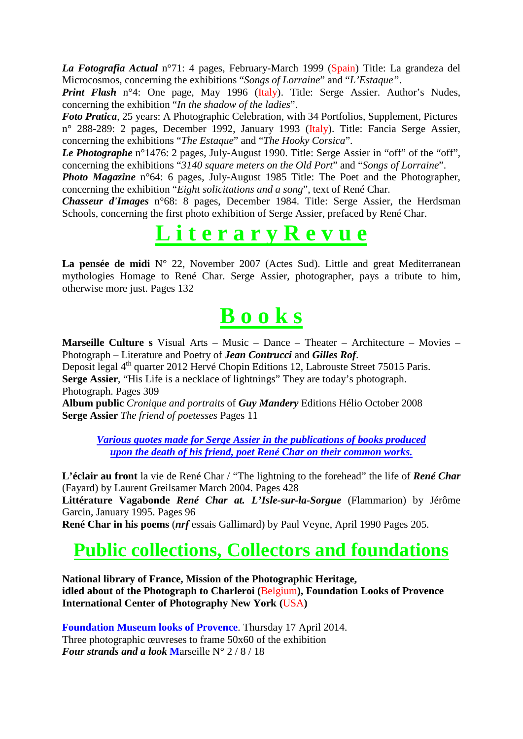*La Fotografia Actual* n°71: 4 pages, February-March 1999 (Spain) Title: La grandeza del Microcosmos, concerning the exhibitions "*Songs of Lorraine*" and "*L'Estaque"*.

*Print Flash* n°4: One page, May 1996 (Italy). Title: Serge Assier. Author's Nudes, concerning the exhibition "*In the shadow of the ladies*".

*Foto Pratica*, 25 years: A Photographic Celebration, with 34 Portfolios, Supplement, Pictures n° 288-289: 2 pages, December 1992, January 1993 (Italy). Title: Fancia Serge Assier, concerning the exhibitions "*The Estaque*" and "*The Hooky Corsica*".

*Le Photographe* n°1476: 2 pages, July-August 1990. Title: Serge Assier in "off" of the "off", concerning the exhibitions "*3140 square meters on the Old Port*" and "*Songs of Lorraine*".

*Photo Magazine* n°64: 6 pages, July-August 1985 Title: The Poet and the Photographer, concerning the exhibition "*Eight solicitations and a song*", text of René Char.

*Chasseur d'Images* n°68: 8 pages, December 1984. Title: Serge Assier, the Herdsman Schools, concerning the first photo exhibition of Serge Assier, prefaced by René Char.

# **L i t e r a r y R e v u e**

La pensée de midi N° 22, November 2007 (Actes Sud). Little and great Mediterranean mythologies Homage to René Char. Serge Assier, photographer, pays a tribute to him, otherwise more just. Pages 132

# **B o o k s**

**Marseille Culture s** Visual Arts – Music – Dance – Theater – Architecture – Movies – Photograph – Literature and Poetry of *Jean Contrucci* and *Gilles Rof*.

Deposit legal 4<sup>th</sup> quarter 2012 Hervé Chopin Editions 12, Labrouste Street 75015 Paris. **Serge Assier**, "His Life is a necklace of lightnings" They are today's photograph. Photograph. Pages 309

**Album public** *Cronique and portraits* of *Guy Mandery* Editions Hélio October 2008 **Serge Assier** *The friend of poetesses* Pages 11

*Various quotes made for Serge Assier in the publications of books produced upon the death of his friend, poet René Char on their common works.*

**L'éclair au front** la vie de René Char / "The lightning to the forehead" the life of *René Char* (Fayard) by Laurent Greilsamer March 2004. Pages 428

**Littérature Vagabonde** *René Char at. L'Isle-sur-la-Sorgue* (Flammarion) by Jérôme Garcin, January 1995. Pages 96

**René Char in his poems** (*nrf* essais Gallimard) by Paul Veyne, April 1990 Pages 205.

## **Public collections, Collectors and foundations**

**National library of France, Mission of the Photographic Heritage, idled about of the Photograph to Charleroi (**Belgium**), Foundation Looks of Provence International Center of Photography New York (**USA**)**

**Foundation Museum looks of Provence**. Thursday 17 April 2014. Three photographic œuvreses to frame 50x60 of the exhibition *Four strands and a look* **M**arseille N° 2 / 8 / 18